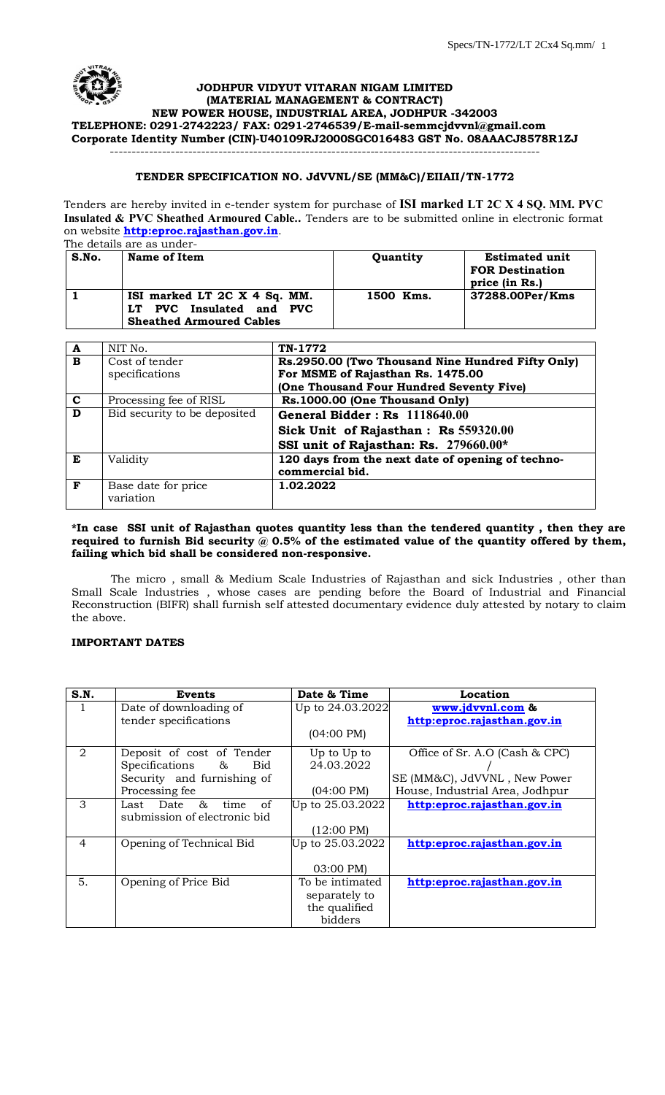

# ---------------------------------------------------------------------------------------------------

#### **TENDER SPECIFICATION NO. JdVVNL/SE (MM&C)/EIIAII/TN-1772**

Tenders are hereby invited in e-tender system for purchase of **ISI marked LT 2C X 4 SQ. MM. PVC Insulated & PVC Sheathed Armoured Cable..** Tenders are to be submitted online in electronic format on website **[http:eproc.rajasthan.gov.in](http://www.eproc.rajasthan.gov.in/nicgep/app)**.  $The data is$ 

| The details are as under- |                                                                                             |           |                                                                   |
|---------------------------|---------------------------------------------------------------------------------------------|-----------|-------------------------------------------------------------------|
| S.No.                     | Name of Item                                                                                | Quantity  | <b>Estimated unit</b><br><b>FOR Destination</b><br>price (in Rs.) |
|                           | ISI marked LT 2C X 4 Sq. MM.<br>LT PVC Insulated and PVC<br><b>Sheathed Armoured Cables</b> | 1500 Kms. | 37288.00Per/Kms                                                   |

| A           | NIT No.                      | TN-1772                                           |
|-------------|------------------------------|---------------------------------------------------|
| B           | Cost of tender               | Rs.2950.00 (Two Thousand Nine Hundred Fifty Only) |
|             | specifications               | For MSME of Rajasthan Rs. 1475.00                 |
|             |                              | (One Thousand Four Hundred Seventy Five)          |
| $\mathbf c$ | Processing fee of RISL       | Rs.1000.00 (One Thousand Only)                    |
| D           | Bid security to be deposited | General Bidder: Rs 1118640.00                     |
|             |                              | Sick Unit of Rajasthan: Rs 559320.00              |
|             |                              | SSI unit of Rajasthan: Rs. 279660.00*             |
| E           | Validity                     | 120 days from the next date of opening of techno- |
|             |                              | commercial bid.                                   |
| F           | Base date for price          | 1.02.2022                                         |
|             | variation                    |                                                   |

#### **\*In case SSI unit of Rajasthan quotes quantity less than the tendered quantity , then they are**  required to furnish Bid security  $\bar{\omega}$  0.5% of the estimated value of the quantity offered by them, **failing which bid shall be considered non-responsive.**

The micro , small & Medium Scale Industries of Rajasthan and sick Industries , other than Small Scale Industries , whose cases are pending before the Board of Industrial and Financial Reconstruction (BIFR) shall furnish self attested documentary evidence duly attested by notary to claim the above.

# **IMPORTANT DATES**

| S.N.           | <b>Events</b>                  | Date & Time          | Location                        |
|----------------|--------------------------------|----------------------|---------------------------------|
| 1              | Date of downloading of         | Up to 24.03.2022     | www.jdvvnl.com &                |
|                | tender specifications          |                      | http:eproc.rajasthan.gov.in     |
|                |                                | $(04:00 \text{ PM})$ |                                 |
| 2              | Deposit of cost of Tender      | Up to Up to          | Office of Sr. A.O (Cash & CPC)  |
|                | Specifications &<br>Bid        | 24.03.2022           |                                 |
|                | Security and furnishing of     |                      | SE (MM&C), JdVVNL, New Power    |
|                | Processing fee                 | $(04:00 \text{ PM})$ | House, Industrial Area, Jodhpur |
| 3              | Last Date<br>&<br>time<br>- of | Up to 25.03.2022     | http:eproc.rajasthan.gov.in     |
|                | submission of electronic bid   |                      |                                 |
|                |                                | $(12:00 \text{ PM})$ |                                 |
| $\overline{4}$ | Opening of Technical Bid       | Up to 25.03.2022     | http:eproc.rajasthan.gov.in     |
|                |                                |                      |                                 |
|                |                                | 03:00 PM)            |                                 |
| 5.             | Opening of Price Bid           | To be intimated      | http:eproc.rajasthan.gov.in     |
|                |                                | separately to        |                                 |
|                |                                | the qualified        |                                 |
|                |                                | bidders              |                                 |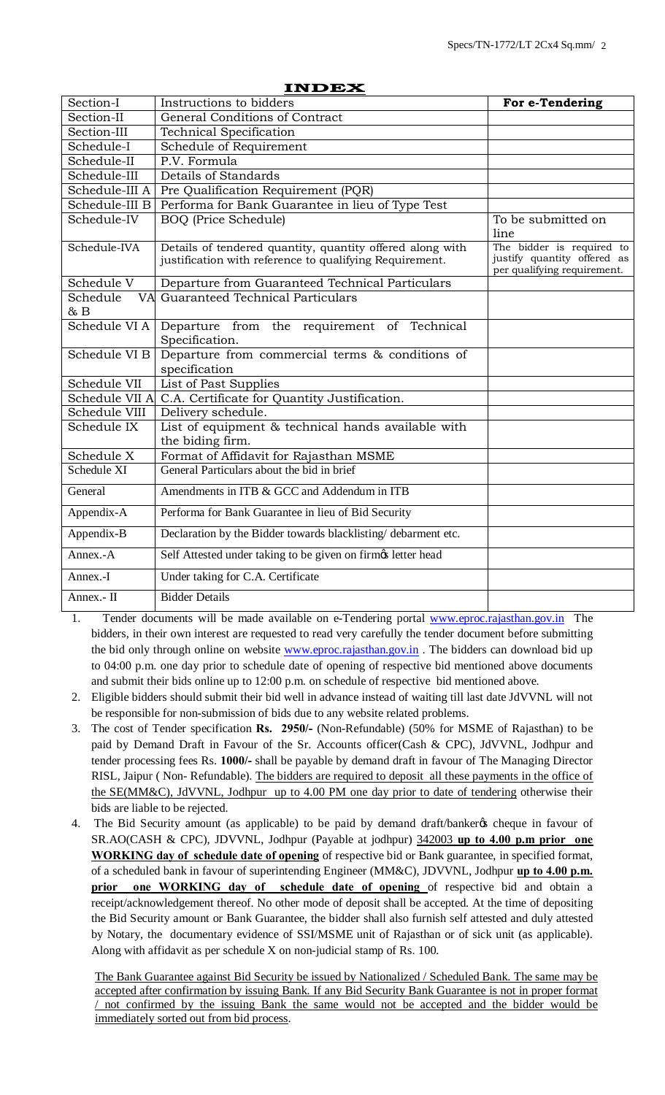| Section-I      | Instructions to bidders                                                                                              | For e-Tendering                                                                         |
|----------------|----------------------------------------------------------------------------------------------------------------------|-----------------------------------------------------------------------------------------|
| Section-II     | General Conditions of Contract                                                                                       |                                                                                         |
| Section-III    | <b>Technical Specification</b>                                                                                       |                                                                                         |
| Schedule-I     | Schedule of Requirement                                                                                              |                                                                                         |
| Schedule-II    | P.V. Formula                                                                                                         |                                                                                         |
| Schedule-III   | Details of Standards                                                                                                 |                                                                                         |
| Schedule-III A | Pre Qualification Requirement (PQR)                                                                                  |                                                                                         |
| Schedule-III B | Performa for Bank Guarantee in lieu of Type Test                                                                     |                                                                                         |
| Schedule-IV    | <b>BOQ</b> (Price Schedule)                                                                                          | To be submitted on<br>line                                                              |
| Schedule-IVA   | Details of tendered quantity, quantity offered along with<br>justification with reference to qualifying Requirement. | The bidder is required to<br>justify quantity offered as<br>per qualifying requirement. |
| Schedule V     | Departure from Guaranteed Technical Particulars                                                                      |                                                                                         |
| Schedule<br>&B | VA Guaranteed Technical Particulars                                                                                  |                                                                                         |
| Schedule VI A  | Departure from the requirement of Technical<br>Specification.                                                        |                                                                                         |
| Schedule VI B  | Departure from commercial terms & conditions of<br>specification                                                     |                                                                                         |
| Schedule VII   | List of Past Supplies                                                                                                |                                                                                         |
| Schedule VII A | C.A. Certificate for Quantity Justification.                                                                         |                                                                                         |
| Schedule VIII  | Delivery schedule.                                                                                                   |                                                                                         |
| Schedule IX    | List of equipment & technical hands available with<br>the biding firm.                                               |                                                                                         |
| Schedule X     | Format of Affidavit for Rajasthan MSME                                                                               |                                                                                         |
| Schedule XI    | General Particulars about the bid in brief                                                                           |                                                                                         |
| General        | Amendments in ITB & GCC and Addendum in ITB                                                                          |                                                                                         |
| Appendix-A     | Performa for Bank Guarantee in lieu of Bid Security                                                                  |                                                                                         |
| Appendix-B     | Declaration by the Bidder towards blacklisting/debarment etc.                                                        |                                                                                         |
| Annex.-A       | Self Attested under taking to be given on firmos letter head                                                         |                                                                                         |
| Annex.-I       | Under taking for C.A. Certificate                                                                                    |                                                                                         |
| Annex.- II     | <b>Bidder Details</b>                                                                                                |                                                                                         |

#### **INDEX**

- 1. Tender documents will be made available on e-Tendering portal [www.eproc.rajasthan.gov.in](http://www.eproc.rajasthan.gov.in/) The bidders, in their own interest are requested to read very carefully the tender document before submitting the bid only through online on website [www.eproc.rajasthan.gov.in](http://www.eproc.rajasthan.gov.in/). The bidders can download bid up to 04:00 p.m. one day prior to schedule date of opening of respective bid mentioned above documents and submit their bids online up to 12:00 p.m. on schedule of respective bid mentioned above.
- 2. Eligible bidders should submit their bid well in advance instead of waiting till last date JdVVNL will not be responsible for non-submission of bids due to any website related problems.
- 3. The cost of Tender specification **Rs. 2950/-** (Non-Refundable) (50% for MSME of Rajasthan) to be paid by Demand Draft in Favour of the Sr. Accounts officer(Cash & CPC), JdVVNL, Jodhpur and tender processing fees Rs. **1000/-** shall be payable by demand draft in favour of The Managing Director RISL, Jaipur ( Non- Refundable). The bidders are required to deposit all these payments in the office of the SE(MM&C), JdVVNL, Jodhpur up to 4.00 PM one day prior to date of tendering otherwise their bids are liable to be rejected.
- 4. The Bid Security amount (as applicable) to be paid by demand draft/banker & cheque in favour of SR.AO(CASH & CPC), JDVVNL, Jodhpur (Payable at jodhpur) 342003 **up to 4.00 p.m prior one WORKING day of schedule date of opening** of respective bid or Bank guarantee, in specified format, of a scheduled bank in favour of superintending Engineer (MM&C), JDVVNL, Jodhpur **up to 4.00 p.m. prior one WORKING day of schedule date of opening** of respective bid and obtain a receipt/acknowledgement thereof. No other mode of deposit shall be accepted. At the time of depositing the Bid Security amount or Bank Guarantee, the bidder shall also furnish self attested and duly attested by Notary, the documentary evidence of SSI/MSME unit of Rajasthan or of sick unit (as applicable). Along with affidavit as per schedule X on non-judicial stamp of Rs. 100.

The Bank Guarantee against Bid Security be issued by Nationalized / Scheduled Bank. The same may be accepted after confirmation by issuing Bank. If any Bid Security Bank Guarantee is not in proper format / not confirmed by the issuing Bank the same would not be accepted and the bidder would be immediately sorted out from bid process.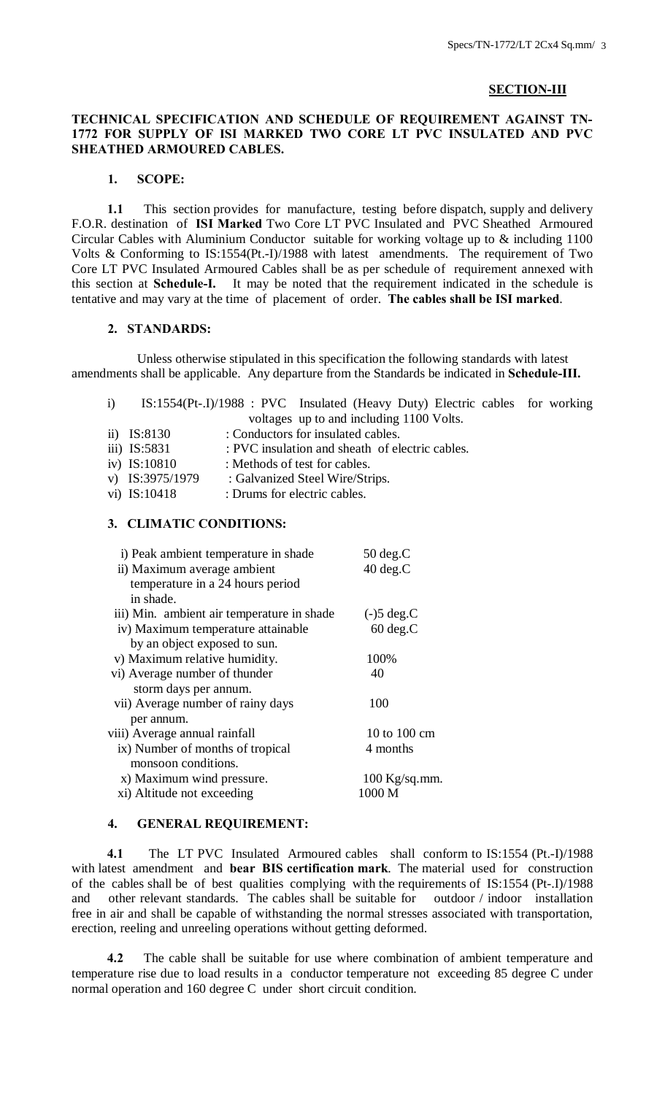## **SECTION-III**

# **TECHNICAL SPECIFICATION AND SCHEDULE OF REQUIREMENT AGAINST TN-1772 FOR SUPPLY OF ISI MARKED TWO CORE LT PVC INSULATED AND PVC SHEATHED ARMOURED CABLES.**

# **1. SCOPE:**

 **1.1** This section provides for manufacture, testing before dispatch, supply and delivery F.O.R. destination of **ISI Marked** Two Core LT PVC Insulated and PVC Sheathed Armoured Circular Cables with Aluminium Conductor suitable for working voltage up to & including 1100 Volts & Conforming to IS:1554(Pt.-I)/1988 with latest amendments. The requirement of Two Core LT PVC Insulated Armoured Cables shall be as per schedule of requirement annexed with this section at **Schedule-I.** It may be noted that the requirement indicated in the schedule is tentative and may vary at the time of placement of order. **The cables shall be ISI marked**.

#### **2. STANDARDS:**

 Unless otherwise stipulated in this specification the following standards with latest amendments shall be applicable. Any departure from the Standards be indicated in **Schedule-III.**

|  |                 | IS:1554(Pt-.I)/1988 : PVC Insulated (Heavy Duty) Electric cables for working |  |
|--|-----------------|------------------------------------------------------------------------------|--|
|  |                 | voltages up to and including 1100 Volts.                                     |  |
|  | ii) $IS:8130$   | : Conductors for insulated cables.                                           |  |
|  | iii) IS:5831    | : PVC insulation and sheath of electric cables.                              |  |
|  | iv) IS:10810    | : Methods of test for cables.                                                |  |
|  | v) IS:3975/1979 | : Galvanized Steel Wire/Strips.                                              |  |
|  | vi) IS:10418    | : Drums for electric cables.                                                 |  |

#### **3. CLIMATIC CONDITIONS:**

| i) Peak ambient temperature in shade       | $50 \deg.C$     |
|--------------------------------------------|-----------------|
| ii) Maximum average ambient                | $40 \deg.C$     |
| temperature in a 24 hours period           |                 |
| in shade.                                  |                 |
| iii) Min. ambient air temperature in shade | $(-)5 \deg.C$   |
| iv) Maximum temperature attainable         | $60 \deg.C$     |
| by an object exposed to sun.               |                 |
| v) Maximum relative humidity.              | 100%            |
| vi) Average number of thunder              | 40              |
| storm days per annum.                      |                 |
| vii) Average number of rainy days          | 100             |
| per annum.                                 |                 |
| viii) Average annual rainfall              | 10 to 100 cm    |
| ix) Number of months of tropical           | 4 months        |
| monsoon conditions.                        |                 |
| x) Maximum wind pressure.                  | $100$ Kg/sq.mm. |
| xi) Altitude not exceeding                 | 1000 M          |
|                                            |                 |

#### **4. GENERAL REQUIREMENT:**

 **4.1** The LT PVC Insulated Armoured cables shall conform to IS:1554 (Pt.-I)/1988 with latest amendment and **bear BIS certification mark**. The material used for construction of the cables shall be of best qualities complying with the requirements of IS:1554 (Pt-.I)/1988 and other relevant standards. The cables shall be suitable for outdoor / indoor installation and other relevant standards. The cables shall be suitable for free in air and shall be capable of withstanding the normal stresses associated with transportation, erection, reeling and unreeling operations without getting deformed.

 **4.2** The cable shall be suitable for use where combination of ambient temperature and temperature rise due to load results in a conductor temperature not exceeding 85 degree C under normal operation and 160 degree C under short circuit condition.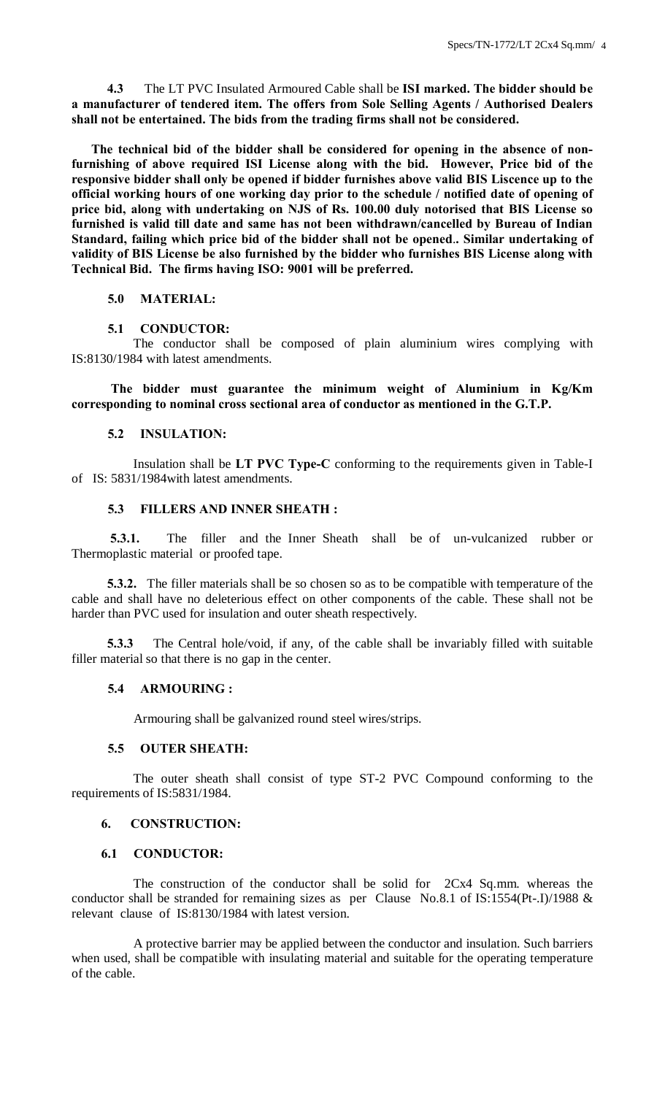**4.3** The LT PVC Insulated Armoured Cable shall be **ISI marked. The bidder should be a manufacturer of tendered item. The offers from Sole Selling Agents / Authorised Dealers shall not be entertained. The bids from the trading firms shall not be considered.**

**The technical bid of the bidder shall be considered for opening in the absence of nonfurnishing of above required ISI License along with the bid. However, Price bid of the responsive bidder shall only be opened if bidder furnishes above valid BIS Liscence up to the official working hours of one working day prior to the schedule / notified date of opening of price bid, along with undertaking on NJS of Rs. 100.00 duly notorised that BIS License so furnished is valid till date and same has not been withdrawn/cancelled by Bureau of Indian Standard, failing which price bid of the bidder shall not be opened**.**. Similar undertaking of validity of BIS License be also furnished by the bidder who furnishes BIS License along with Technical Bid. The firms having ISO: 9001 will be preferred.** 

# **5.0 MATERIAL:**

#### **5.1 CONDUCTOR:**

 The conductor shall be composed of plain aluminium wires complying with IS:8130/1984 with latest amendments.

**The bidder must guarantee the minimum weight of Aluminium in Kg/Km corresponding to nominal cross sectional area of conductor as mentioned in the G.T.P.**

#### **5.2 INSULATION:**

 Insulation shall be **LT PVC Type-C** conforming to the requirements given in Table-I of IS: 5831/1984with latest amendments.

#### **5.3 FILLERS AND INNER SHEATH :**

**5.3.1.** The filler and the Inner Sheath shall be of un-vulcanized rubber or Thermoplastic material or proofed tape.

 **5.3.2.** The filler materials shall be so chosen so as to be compatible with temperature of the cable and shall have no deleterious effect on other components of the cable. These shall not be harder than PVC used for insulation and outer sheath respectively.

 **5.3.3** The Central hole/void, if any, of the cable shall be invariably filled with suitable filler material so that there is no gap in the center.

#### **5.4 ARMOURING :**

Armouring shall be galvanized round steel wires/strips.

#### **5.5 OUTER SHEATH:**

 The outer sheath shall consist of type ST-2 PVC Compound conforming to the requirements of IS:5831/1984.

# **6. CONSTRUCTION:**

#### **6.1 CONDUCTOR:**

 The construction of the conductor shall be solid for 2Cx4 Sq.mm. whereas the conductor shall be stranded for remaining sizes as per Clause No.8.1 of IS:1554(Pt-.I)/1988 & relevant clause of IS:8130/1984 with latest version.

 A protective barrier may be applied between the conductor and insulation. Such barriers when used, shall be compatible with insulating material and suitable for the operating temperature of the cable.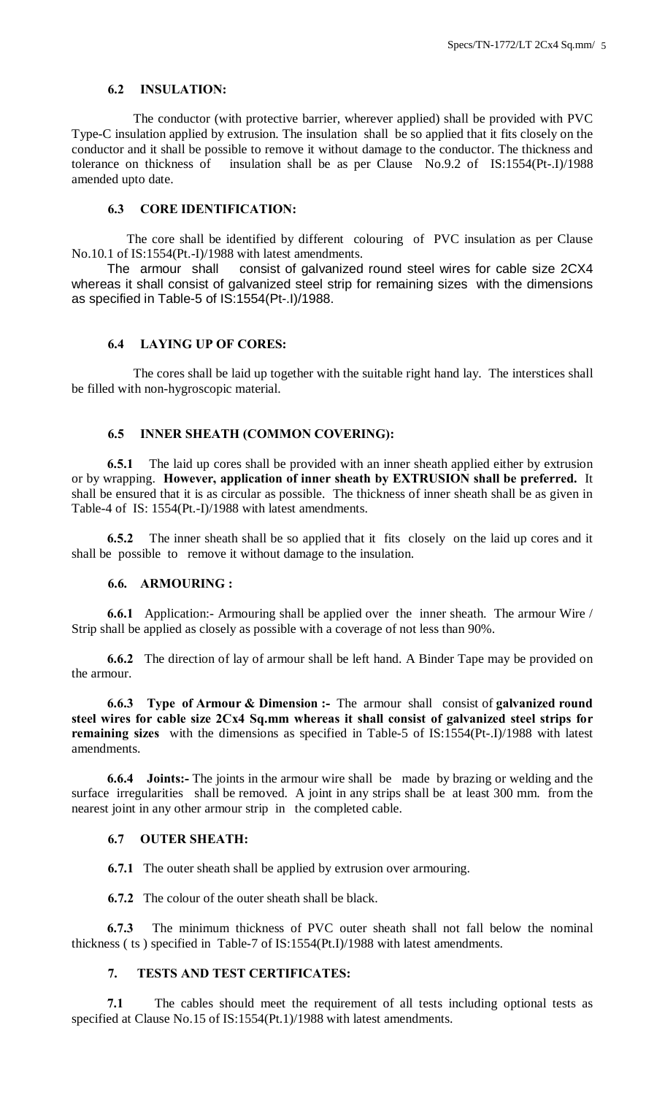# **6.2 INSULATION:**

 The conductor (with protective barrier, wherever applied) shall be provided with PVC Type-C insulation applied by extrusion. The insulation shall be so applied that it fits closely on the conductor and it shall be possible to remove it without damage to the conductor. The thickness and tolerance on thickness of insulation shall be as per Clause No.9.2 of IS:1554(Pt-.I)/1988 amended upto date.

# **6.3 CORE IDENTIFICATION:**

 The core shall be identified by different colouring of PVC insulation as per Clause No.10.1 of IS:1554(Pt.-I)/1988 with latest amendments.

 The armour shall consist of galvanized round steel wires for cable size 2CX4 whereas it shall consist of galvanized steel strip for remaining sizes with the dimensions as specified in Table-5 of IS:1554(Pt-.I)/1988.

# **6.4 LAYING UP OF CORES:**

 The cores shall be laid up together with the suitable right hand lay. The interstices shall be filled with non-hygroscopic material.

#### **6.5 INNER SHEATH (COMMON COVERING):**

 **6.5.1** The laid up cores shall be provided with an inner sheath applied either by extrusion or by wrapping. **However, application of inner sheath by EXTRUSION shall be preferred.** It shall be ensured that it is as circular as possible. The thickness of inner sheath shall be as given in Table-4 of IS: 1554(Pt.-I)/1988 with latest amendments.

 **6.5.2** The inner sheath shall be so applied that it fits closely on the laid up cores and it shall be possible to remove it without damage to the insulation.

#### **6.6. ARMOURING :**

 **6.6.1** Application:- Armouring shall be applied over the inner sheath. The armour Wire / Strip shall be applied as closely as possible with a coverage of not less than 90%.

 **6.6.2** The direction of lay of armour shall be left hand. A Binder Tape may be provided on the armour.

 **6.6.3 Type of Armour & Dimension :-** The armour shall consist of **galvanized round steel wires for cable size 2Cx4 Sq.mm whereas it shall consist of galvanized steel strips for remaining sizes** with the dimensions as specified in Table-5 of IS:1554(Pt-.I)/1988 with latest amendments.

 **6.6.4 Joints:-** The joints in the armour wire shall be made by brazing or welding and the surface irregularities shall be removed. A joint in any strips shall be at least 300 mm. from the nearest joint in any other armour strip in the completed cable.

#### **6.7 OUTER SHEATH:**

**6.7.1** The outer sheath shall be applied by extrusion over armouring.

**6.7.2** The colour of the outer sheath shall be black.

 **6.7.3** The minimum thickness of PVC outer sheath shall not fall below the nominal thickness ( ts ) specified in Table-7 of IS:1554(Pt.I)/1988 with latest amendments.

# **7. TESTS AND TEST CERTIFICATES:**

 **7.1** The cables should meet the requirement of all tests including optional tests as specified at Clause No.15 of IS:1554(Pt.1)/1988 with latest amendments.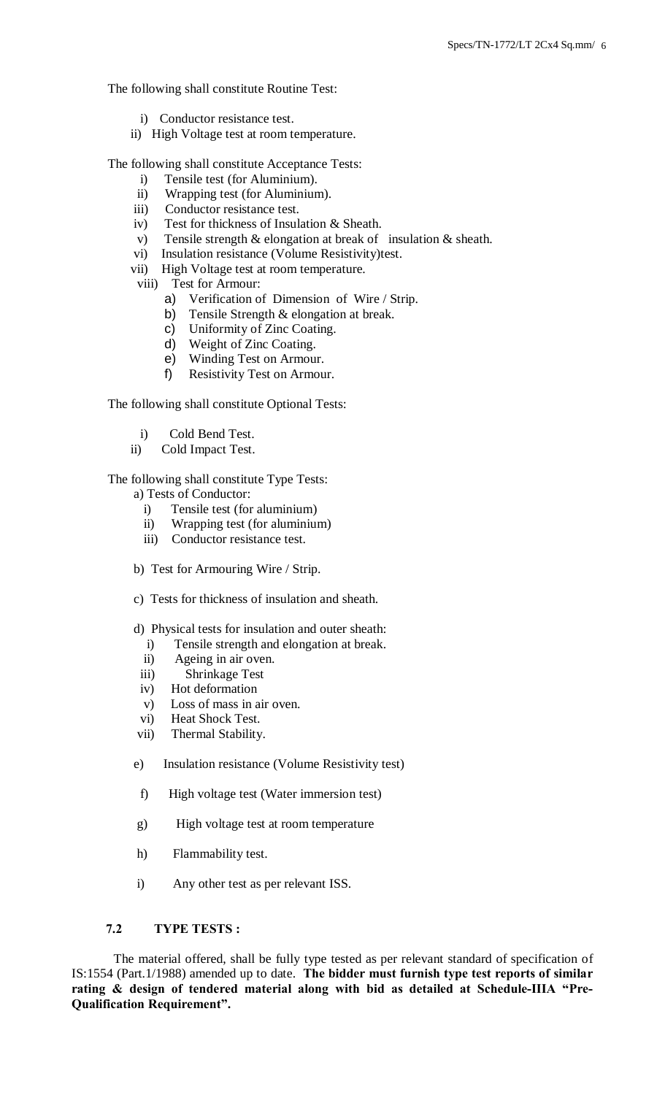The following shall constitute Routine Test:

- i) Conductor resistance test.
- ii) High Voltage test at room temperature.

The following shall constitute Acceptance Tests:

- i) Tensile test (for Aluminium).
- ii) Wrapping test (for Aluminium).
- iii) Conductor resistance test.
- iv) Test for thickness of Insulation & Sheath.
- v) Tensile strength & elongation at break of insulation & sheath.
- vi) Insulation resistance (Volume Resistivity)test.
- vii) High Voltage test at room temperature.
- viii) Test for Armour:
	- a) Verification of Dimension of Wire / Strip.
	- b) Tensile Strength & elongation at break.
	- c) Uniformity of Zinc Coating.
	- d) Weight of Zinc Coating.
	- e) Winding Test on Armour.
	- f) Resistivity Test on Armour.

The following shall constitute Optional Tests:

- i) Cold Bend Test.
- ii) Cold Impact Test.

The following shall constitute Type Tests:

- a) Tests of Conductor:
	- i) Tensile test (for aluminium)
	- ii) Wrapping test (for aluminium)
	- iii) Conductor resistance test.
- b) Test for Armouring Wire / Strip.
- c) Tests for thickness of insulation and sheath.
- d) Physical tests for insulation and outer sheath:
	- i) Tensile strength and elongation at break.
	- ii) Ageing in air oven.
- iii) Shrinkage Test
- iv) Hot deformation
- v) Loss of mass in air oven.
- vi) Heat Shock Test.
- vii) Thermal Stability.
- e) Insulation resistance (Volume Resistivity test)
- f) High voltage test (Water immersion test)
- g) High voltage test at room temperature
- h) Flammability test.
- i) Any other test as per relevant ISS.

#### **7.2 TYPE TESTS :**

 The material offered, shall be fully type tested as per relevant standard of specification of IS:1554 (Part.1/1988) amended up to date. **The bidder must furnish type test reports of similar rating & design of tendered material along with bid as detailed at Schedule-IIIA "Pre-Qualification Requirement".**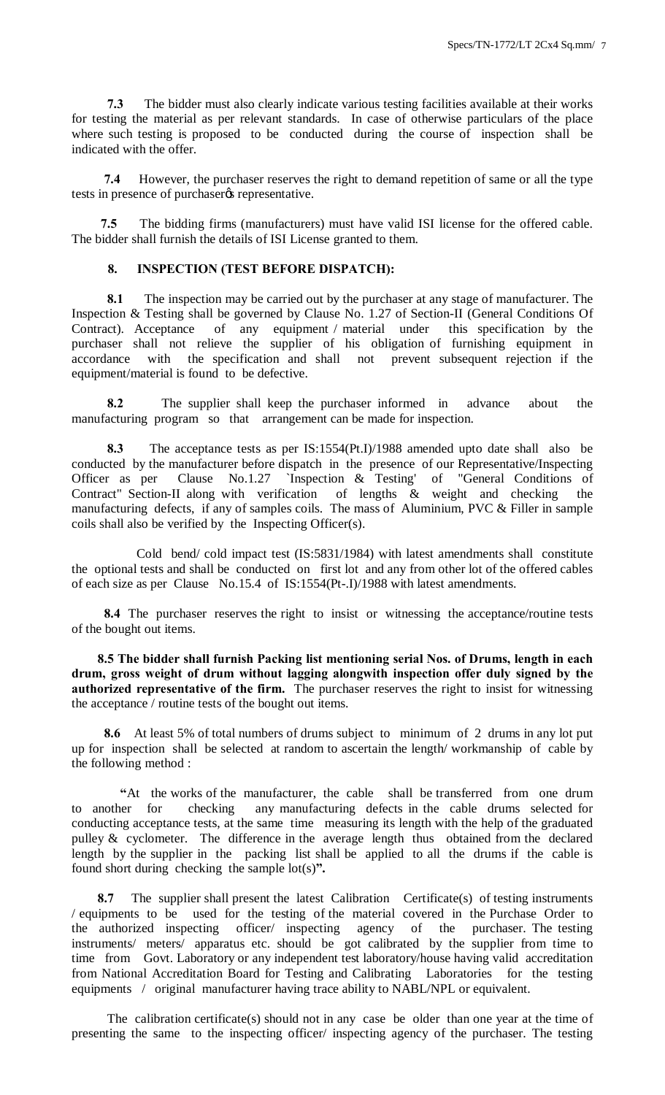**7.3** The bidder must also clearly indicate various testing facilities available at their works for testing the material as per relevant standards. In case of otherwise particulars of the place where such testing is proposed to be conducted during the course of inspection shall be indicated with the offer.

 **7.4** However, the purchaser reserves the right to demand repetition of same or all the type tests in presence of purchaser  $\alpha$  representative.

 **7.5** The bidding firms (manufacturers) must have valid ISI license for the offered cable. The bidder shall furnish the details of ISI License granted to them.

## **8. INSPECTION (TEST BEFORE DISPATCH):**

 **8.1** The inspection may be carried out by the purchaser at any stage of manufacturer. The Inspection & Testing shall be governed by Clause No. 1.27 of Section-II (General Conditions Of Contract). Acceptance of any equipment / material under this specification by the purchaser shall not relieve the supplier of his obligation of furnishing equipment in accordance with the specification and shall not prevent subsequent rejection if the equipment/material is found to be defective.

 **8.2** The supplier shall keep the purchaser informed in advance about the manufacturing program so that arrangement can be made for inspection.

 **8.3** The acceptance tests as per IS:1554(Pt.I)/1988 amended upto date shall also be conducted by the manufacturer before dispatch in the presence of our Representative/Inspecting Officer as per Clause No.1.27 `Inspection & Testing' of "General Conditions of Contract" Section-II along with verification of lengths & weight and checking the manufacturing defects, if any of samples coils. The mass of Aluminium, PVC & Filler in sample coils shall also be verified by the Inspecting Officer(s).

 Cold bend/ cold impact test (IS:5831/1984) with latest amendments shall constitute the optional tests and shall be conducted on first lot and any from other lot of the offered cables of each size as per Clause No.15.4 of IS:1554(Pt-.I)/1988 with latest amendments.

8.4 The purchaser reserves the right to insist or witnessing the acceptance/routine tests of the bought out items.

 **8.5 The bidder shall furnish Packing list mentioning serial Nos. of Drums, length in each drum, gross weight of drum without lagging alongwith inspection offer duly signed by the authorized representative of the firm.** The purchaser reserves the right to insist for witnessing the acceptance / routine tests of the bought out items.

 **8.6** At least 5% of total numbers of drums subject to minimum of 2 drums in any lot put up for inspection shall be selected at random to ascertain the length/ workmanship of cable by the following method :

 **"**At the works of the manufacturer, the cable shall be transferred from one drum to another for checking any manufacturing defects in the cable drums selected for conducting acceptance tests, at the same time measuring its length with the help of the graduated pulley & cyclometer. The difference in the average length thus obtained from the declared length by the supplier in the packing list shall be applied to all the drums if the cable is found short during checking the sample lot(s)**".**

**8.7** The supplier shall present the latest Calibration Certificate(s) of testing instruments / equipments to be used for the testing of the material covered in the Purchase Order to the authorized inspecting officer/ inspecting agency of the purchaser. The testing instruments/ meters/ apparatus etc. should be got calibrated by the supplier from time to time from Govt. Laboratory or any independent test laboratory/house having valid accreditation from National Accreditation Board for Testing and Calibrating Laboratories for the testing equipments / original manufacturer having trace ability to NABL/NPL or equivalent.

 The calibration certificate(s) should not in any case be older than one year at the time of presenting the same to the inspecting officer/ inspecting agency of the purchaser. The testing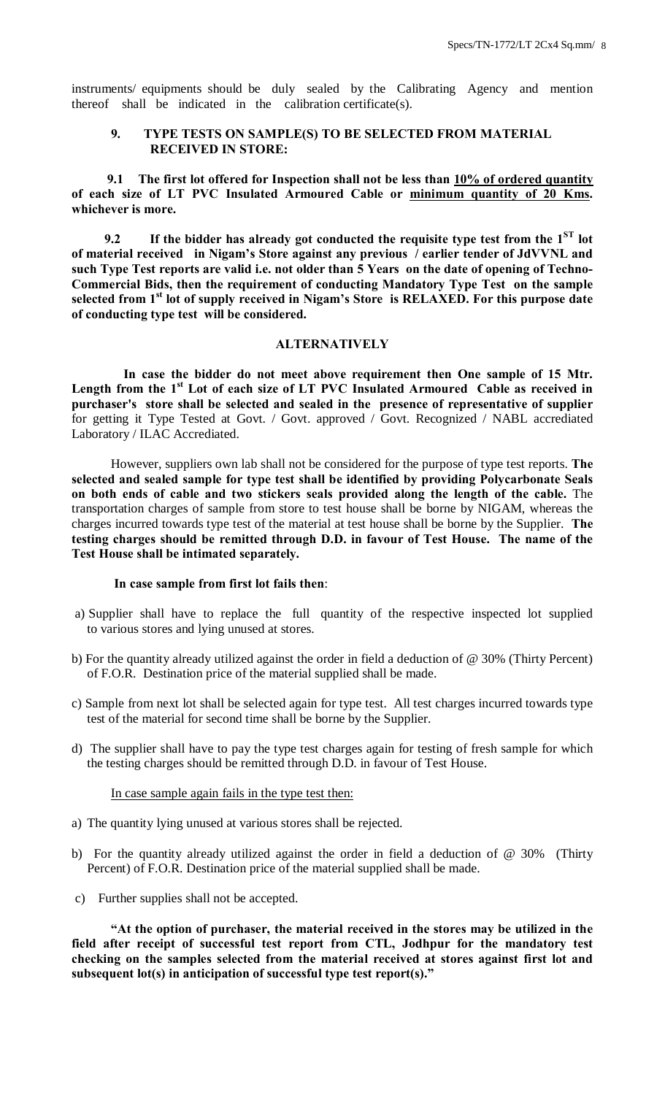instruments/ equipments should be duly sealed by the Calibrating Agency and mention thereof shall be indicated in the calibration certificate(s).

## **9. TYPE TESTS ON SAMPLE(S) TO BE SELECTED FROM MATERIAL RECEIVED IN STORE:**

 **9.1 The first lot offered for Inspection shall not be less than 10% of ordered quantity of each size of LT PVC Insulated Armoured Cable or minimum quantity of 20 Kms. whichever is more.**

**9.2 If the bidder has already got conducted the requisite type test from the**  $1<sup>ST</sup>$  **lot of material received in Nigam's Store against any previous / earlier tender of JdVVNL and such Type Test reports are valid i.e. not older than 5 Years on the date of opening of Techno-Commercial Bids, then the requirement of conducting Mandatory Type Test on the sample selected from 1st lot of supply received in Nigam's Store is RELAXED. For this purpose date of conducting type test will be considered.**

# **ALTERNATIVELY**

 **In case the bidder do not meet above requirement then One sample of 15 Mtr. Length from the 1st Lot of each size of LT PVC Insulated Armoured Cable as received in purchaser's store shall be selected and sealed in the presence of representative of supplier** for getting it Type Tested at Govt. / Govt. approved / Govt. Recognized / NABL accrediated Laboratory / ILAC Accrediated.

However, suppliers own lab shall not be considered for the purpose of type test reports. **The selected and sealed sample for type test shall be identified by providing Polycarbonate Seals on both ends of cable and two stickers seals provided along the length of the cable.** The transportation charges of sample from store to test house shall be borne by NIGAM, whereas the charges incurred towards type test of the material at test house shall be borne by the Supplier. **The testing charges should be remitted through D.D. in favour of Test House. The name of the Test House shall be intimated separately.**

#### **In case sample from first lot fails then**:

- a) Supplier shall have to replace the full quantity of the respective inspected lot supplied to various stores and lying unused at stores.
- b) For the quantity already utilized against the order in field a deduction of @ 30% (Thirty Percent) of F.O.R. Destination price of the material supplied shall be made.
- c) Sample from next lot shall be selected again for type test. All test charges incurred towards type test of the material for second time shall be borne by the Supplier.
- d) The supplier shall have to pay the type test charges again for testing of fresh sample for which the testing charges should be remitted through D.D. in favour of Test House.

#### In case sample again fails in the type test then:

- a) The quantity lying unused at various stores shall be rejected.
- b) For the quantity already utilized against the order in field a deduction of @ 30% (Thirty Percent) of F.O.R. Destination price of the material supplied shall be made.
- c) Further supplies shall not be accepted.

**"At the option of purchaser, the material received in the stores may be utilized in the field after receipt of successful test report from CTL, Jodhpur for the mandatory test checking on the samples selected from the material received at stores against first lot and subsequent lot(s) in anticipation of successful type test report(s)."**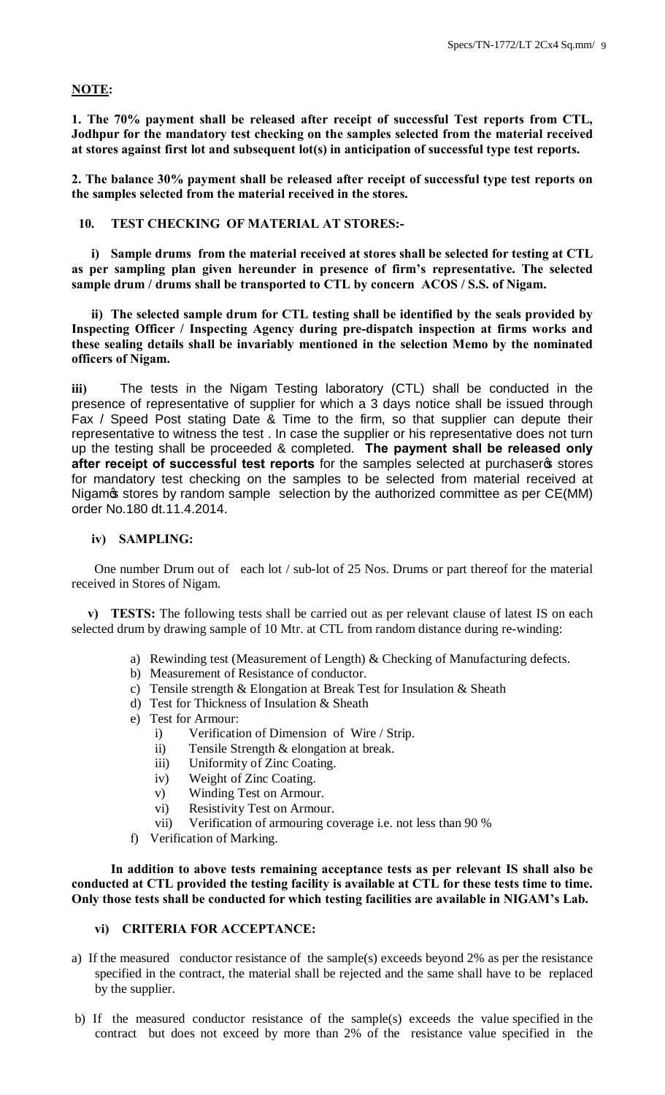# **NOTE:**

**1. The 70% payment shall be released after receipt of successful Test reports from CTL, Jodhpur for the mandatory test checking on the samples selected from the material received at stores against first lot and subsequent lot(s) in anticipation of successful type test reports.**

**2. The balance 30% payment shall be released after receipt of successful type test reports on the samples selected from the material received in the stores.**

**10. TEST CHECKING OF MATERIAL AT STORES:-**

**i) Sample drums from the material received at stores shall be selected for testing at CTL as per sampling plan given hereunder in presence of firm's representative. The selected sample drum / drums shall be transported to CTL by concern ACOS / S.S. of Nigam.**

**ii) The selected sample drum for CTL testing shall be identified by the seals provided by Inspecting Officer / Inspecting Agency during pre-dispatch inspection at firms works and these sealing details shall be invariably mentioned in the selection Memo by the nominated officers of Nigam.**

**iii)** The tests in the Nigam Testing laboratory (CTL) shall be conducted in the presence of representative of supplier for which a 3 days notice shall be issued through Fax / Speed Post stating Date & Time to the firm, so that supplier can depute their representative to witness the test . In case the supplier or his representative does not turn up the testing shall be proceeded & completed. **The payment shall be released only**  after receipt of successful test reports for the samples selected at purchaseros stores for mandatory test checking on the samples to be selected from material received at Nigamos stores by random sample selection by the authorized committee as per CE(MM) order No.180 dt.11.4.2014.

#### **iv) SAMPLING:**

 One number Drum out of each lot / sub-lot of 25 Nos. Drums or part thereof for the material received in Stores of Nigam.

 **v) TESTS:** The following tests shall be carried out as per relevant clause of latest IS on each selected drum by drawing sample of 10 Mtr. at CTL from random distance during re-winding:

- a) Rewinding test (Measurement of Length) & Checking of Manufacturing defects.
- b) Measurement of Resistance of conductor.
- c) Tensile strength & Elongation at Break Test for Insulation & Sheath
- d) Test for Thickness of Insulation & Sheath
- e) Test for Armour:
	- i) Verification of Dimension of Wire / Strip.
	- ii) Tensile Strength & elongation at break.
	- iii) Uniformity of Zinc Coating.
	- iv) Weight of Zinc Coating.
	- v) Winding Test on Armour.
	- vi) Resistivity Test on Armour.
	- vii) Verification of armouring coverage i.e. not less than 90 %
- f) Verification of Marking.

**In addition to above tests remaining acceptance tests as per relevant IS shall also be conducted at CTL provided the testing facility is available at CTL for these tests time to time. Only those tests shall be conducted for which testing facilities are available in NIGAM's Lab.**

# **vi) CRITERIA FOR ACCEPTANCE:**

- a) If the measured conductor resistance of the sample(s) exceeds beyond 2% as per the resistance specified in the contract, the material shall be rejected and the same shall have to be replaced by the supplier.
- b) If the measured conductor resistance of the sample(s) exceeds the value specified in the contract but does not exceed by more than 2% of the resistance value specified in the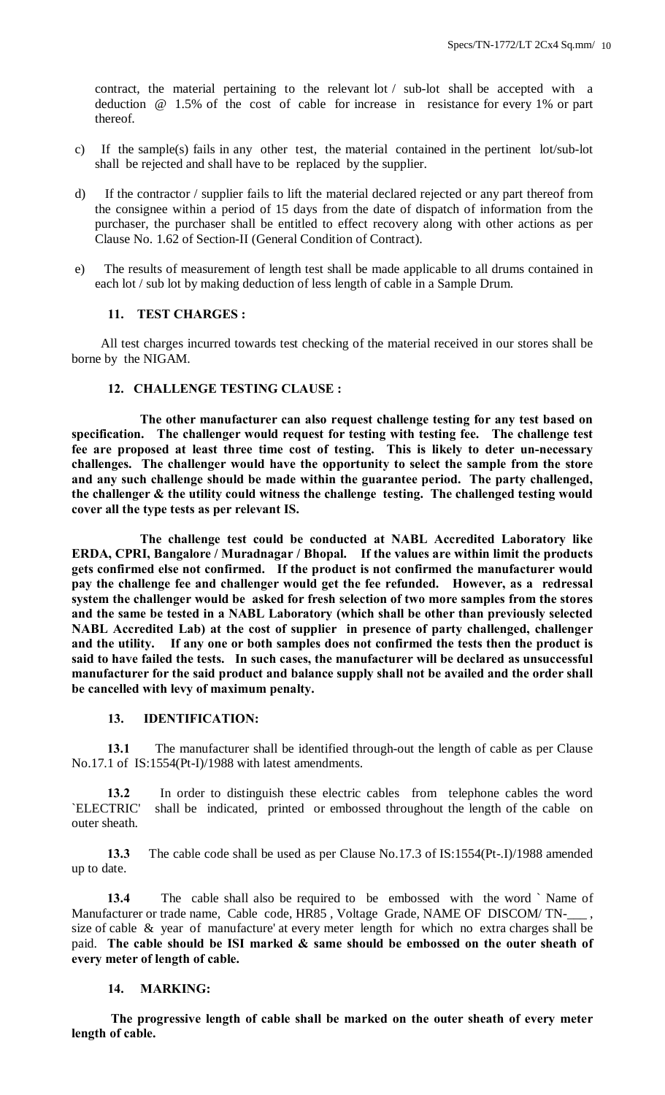contract, the material pertaining to the relevant lot / sub-lot shall be accepted with a deduction @ 1.5% of the cost of cable for increase in resistance for every 1% or part thereof.

- c) If the sample(s) fails in any other test, the material contained in the pertinent lot/sub-lot shall be rejected and shall have to be replaced by the supplier.
- d) If the contractor / supplier fails to lift the material declared rejected or any part thereof from the consignee within a period of 15 days from the date of dispatch of information from the purchaser, the purchaser shall be entitled to effect recovery along with other actions as per Clause No. 1.62 of Section-II (General Condition of Contract).
- e) The results of measurement of length test shall be made applicable to all drums contained in each lot / sub lot by making deduction of less length of cable in a Sample Drum.

#### **11. TEST CHARGES :**

 All test charges incurred towards test checking of the material received in our stores shall be borne by the NIGAM.

## **12. CHALLENGE TESTING CLAUSE :**

 **The other manufacturer can also request challenge testing for any test based on specification. The challenger would request for testing with testing fee. The challenge test fee are proposed at least three time cost of testing. This is likely to deter un-necessary challenges. The challenger would have the opportunity to select the sample from the store and any such challenge should be made within the guarantee period. The party challenged, the challenger & the utility could witness the challenge testing. The challenged testing would cover all the type tests as per relevant IS.** 

 **The challenge test could be conducted at NABL Accredited Laboratory like ERDA, CPRI, Bangalore / Muradnagar / Bhopal. If the values are within limit the products gets confirmed else not confirmed. If the product is not confirmed the manufacturer would pay the challenge fee and challenger would get the fee refunded. However, as a redressal system the challenger would be asked for fresh selection of two more samples from the stores and the same be tested in a NABL Laboratory (which shall be other than previously selected NABL Accredited Lab) at the cost of supplier in presence of party challenged, challenger and the utility. If any one or both samples does not confirmed the tests then the product is said to have failed the tests. In such cases, the manufacturer will be declared as unsuccessful manufacturer for the said product and balance supply shall not be availed and the order shall be cancelled with levy of maximum penalty.** 

#### **13. IDENTIFICATION:**

 **13.1** The manufacturer shall be identified through-out the length of cable as per Clause No.17.1 of IS:1554(Pt-I)/1988 with latest amendments.

 **13.2** In order to distinguish these electric cables from telephone cables the word `ELECTRIC' shall be indicated, printed or embossed throughout the length of the cable on outer sheath.

 **13.3** The cable code shall be used as per Clause No.17.3 of IS:1554(Pt-.I)/1988 amended up to date.

 **13.4** The cable shall also be required to be embossed with the word ` Name of Manufacturer or trade name, Cable code, HR85, Voltage Grade, NAME OF DISCOM/TNsize of cable & year of manufacture' at every meter length for which no extra charges shall be paid. **The cable should be ISI marked & same should be embossed on the outer sheath of every meter of length of cable.**

#### **14. MARKING:**

**The progressive length of cable shall be marked on the outer sheath of every meter length of cable.**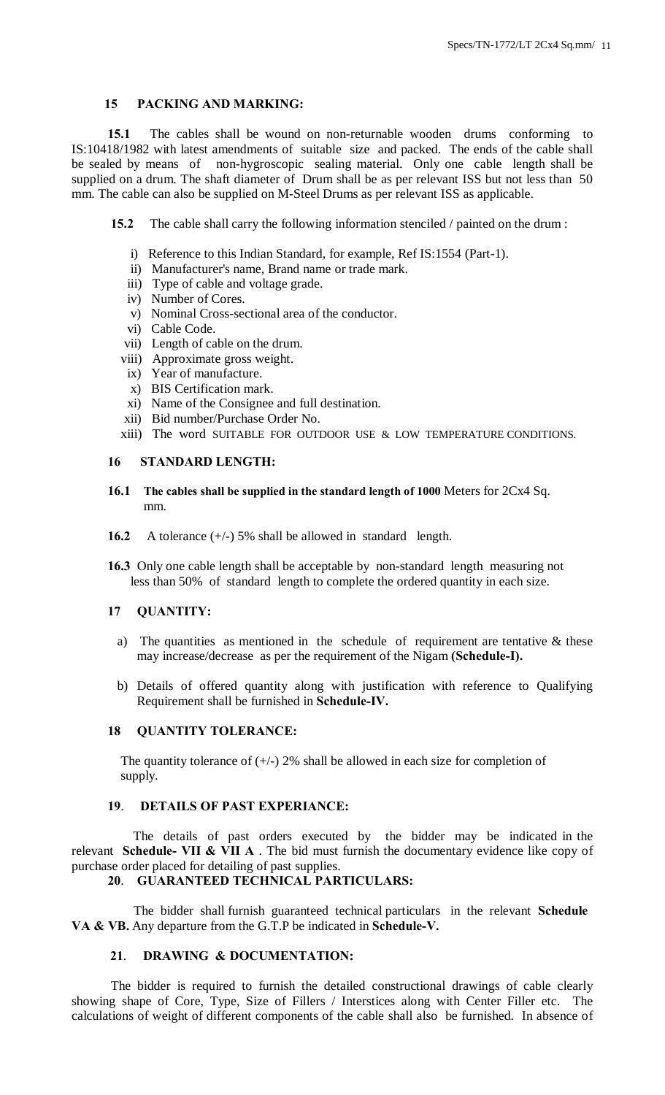# **15 PACKING AND MARKING:**

 **15.1** The cables shall be wound on non-returnable wooden drums conforming to IS:10418/1982 with latest amendments of suitable size and packed. The ends of the cable shall be sealed by means of non-hygroscopic sealing material. Only one cable length shall be supplied on a drum. The shaft diameter of Drum shall be as per relevant ISS but not less than 50 mm. The cable can also be supplied on M-Steel Drums as per relevant ISS as applicable.

**15.2** The cable shall carry the following information stenciled / painted on the drum :

- i) Reference to this Indian Standard, for example, Ref IS:1554 (Part-1).
- ii) Manufacturer's name, Brand name or trade mark.
- iii) Type of cable and voltage grade.
- iv) Number of Cores.
- v) Nominal Cross-sectional area of the conductor.
- vi) Cable Code.
- vii) Length of cable on the drum.
- viii) Approximate gross weight.
- ix) Year of manufacture.
- x) BIS Certification mark.
- xi) Name of the Consignee and full destination.
- xii) Bid number/Purchase Order No.
- xiii) The word SUITABLE FOR OUTDOOR USE & LOW TEMPERATURE CONDITIONS.

#### **16 STANDARD LENGTH:**

- **16.1 The cables shall be supplied in the standard length of 1000** Meters for 2Cx4 Sq. mm.
- **16.2** A tolerance (+/-) 5% shall be allowed in standard length.
- **16.3** Only one cable length shall be acceptable by non-standard length measuring not less than 50% of standard length to complete the ordered quantity in each size.

# **17 QUANTITY:**

- a) The quantities as mentioned in the schedule of requirement are tentative  $\&$  these may increase/decrease as per the requirement of the Nigam **(Schedule-I).**
- b) Details of offered quantity along with justification with reference to Qualifying Requirement shall be furnished in **Schedule-IV.**

## **18 QUANTITY TOLERANCE:**

The quantity tolerance of  $(+/-)$  2% shall be allowed in each size for completion of supply.

# **19**. **DETAILS OF PAST EXPERIANCE:**

 The details of past orders executed by the bidder may be indicated in the relevant **Schedule- VII & VII A** . The bid must furnish the documentary evidence like copy of purchase order placed for detailing of past supplies.

# **20**. **GUARANTEED TECHNICAL PARTICULARS:**

 The bidder shall furnish guaranteed technical particulars in the relevant **Schedule VA & VB.** Any departure from the G.T.P be indicated in **Schedule-V.**

#### **21**. **DRAWING & DOCUMENTATION:**

The bidder is required to furnish the detailed constructional drawings of cable clearly showing shape of Core, Type, Size of Fillers / Interstices along with Center Filler etc. The calculations of weight of different components of the cable shall also be furnished. In absence of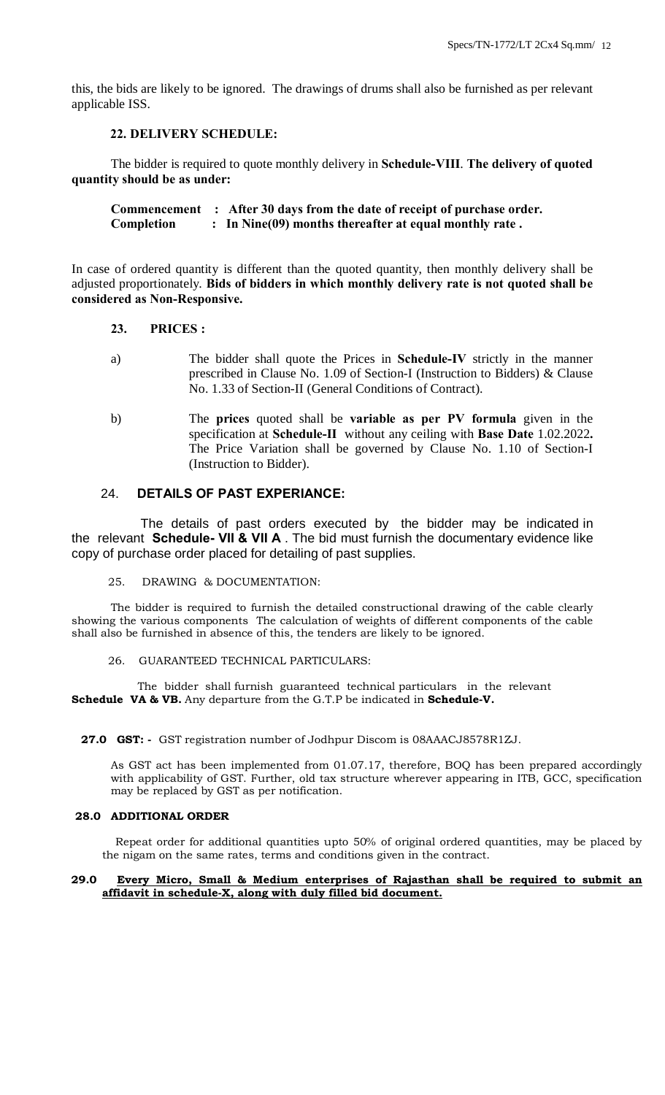this, the bids are likely to be ignored. The drawings of drums shall also be furnished as per relevant applicable ISS.

# **22. DELIVERY SCHEDULE:**

The bidder is required to quote monthly delivery in **Schedule-VIII**. **The delivery of quoted quantity should be as under:**

**Commencement : After 30 days from the date of receipt of purchase order. Completion : In Nine(09) months thereafter at equal monthly rate .**

In case of ordered quantity is different than the quoted quantity, then monthly delivery shall be adjusted proportionately. **Bids of bidders in which monthly delivery rate is not quoted shall be considered as Non-Responsive.**

#### **23. PRICES :**

- a) The bidder shall quote the Prices in **Schedule-IV** strictly in the manner prescribed in Clause No. 1.09 of Section-I (Instruction to Bidders) & Clause No. 1.33 of Section-II (General Conditions of Contract).
- b) The **prices** quoted shall be **variable as per PV formula** given in the specification at **Schedule-II** without any ceiling with **Base Date** 1.02.2022**.** The Price Variation shall be governed by Clause No. 1.10 of Section-I (Instruction to Bidder).

#### 24. **DETAILS OF PAST EXPERIANCE:**

 The details of past orders executed by the bidder may be indicated in the relevant **Schedule- VII & VII A** . The bid must furnish the documentary evidence like copy of purchase order placed for detailing of past supplies.

25. DRAWING & DOCUMENTATION:

The bidder is required to furnish the detailed constructional drawing of the cable clearly showing the various components The calculation of weights of different components of the cable shall also be furnished in absence of this, the tenders are likely to be ignored.

26. GUARANTEED TECHNICAL PARTICULARS:

 The bidder shall furnish guaranteed technical particulars in the relevant **Schedule VA & VB.** Any departure from the G.T.P be indicated in **Schedule-V.**

 **27.0 GST: -** GST registration number of Jodhpur Discom is 08AAACJ8578R1ZJ.

As GST act has been implemented from 01.07.17, therefore, BOQ has been prepared accordingly with applicability of GST. Further, old tax structure wherever appearing in ITB, GCC, specification may be replaced by GST as per notification.

# **28.0 ADDITIONAL ORDER**

 Repeat order for additional quantities upto 50% of original ordered quantities, may be placed by the nigam on the same rates, terms and conditions given in the contract.

#### **29.0 Every Micro, Small & Medium enterprises of Rajasthan shall be required to submit an affidavit in schedule-X, along with duly filled bid document.**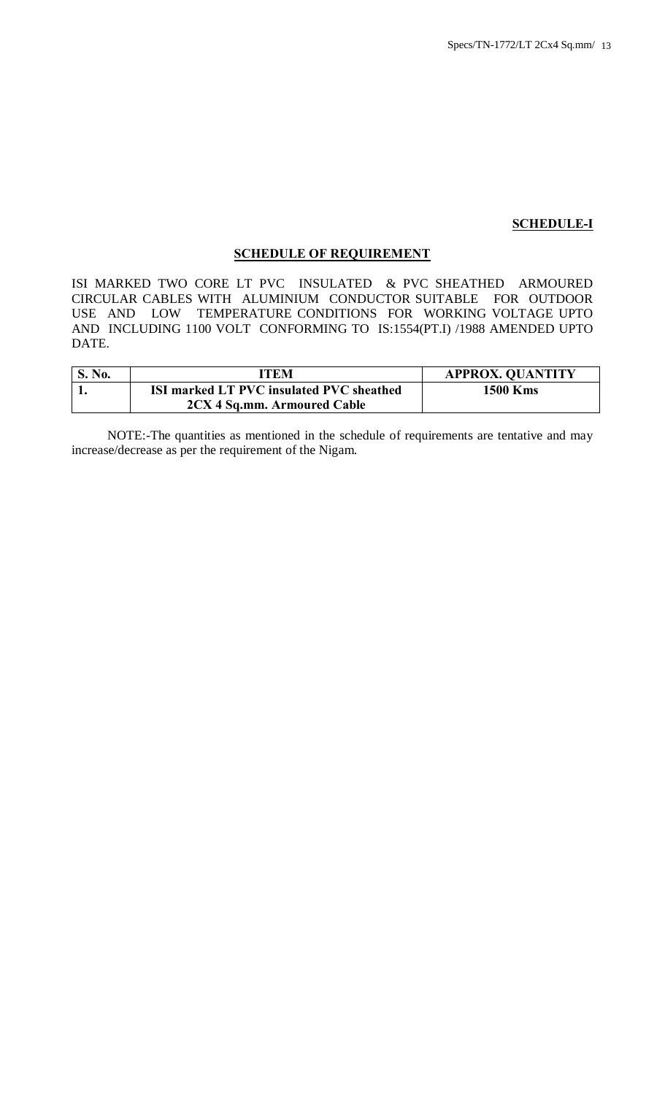#### **SCHEDULE-I**

# **SCHEDULE OF REQUIREMENT**

ISI MARKED TWO CORE LT PVC INSULATED & PVC SHEATHED ARMOURED CIRCULAR CABLES WITH ALUMINIUM CONDUCTOR SUITABLE FOR OUTDOOR USE AND LOW TEMPERATURE CONDITIONS FOR WORKING VOLTAGE UPTO AND INCLUDING 1100 VOLT CONFORMING TO IS:1554(PT.I) /1988 AMENDED UPTO DATE.

| <sup>1</sup> S. No. | ITEM                                     | <b>APPROX. QUANTITY</b> |
|---------------------|------------------------------------------|-------------------------|
|                     | ISI marked LT PVC insulated PVC sheathed | <b>1500 Kms</b>         |
|                     | 2CX 4 Sq.mm. Armoured Cable              |                         |

 NOTE:-The quantities as mentioned in the schedule of requirements are tentative and may increase/decrease as per the requirement of the Nigam.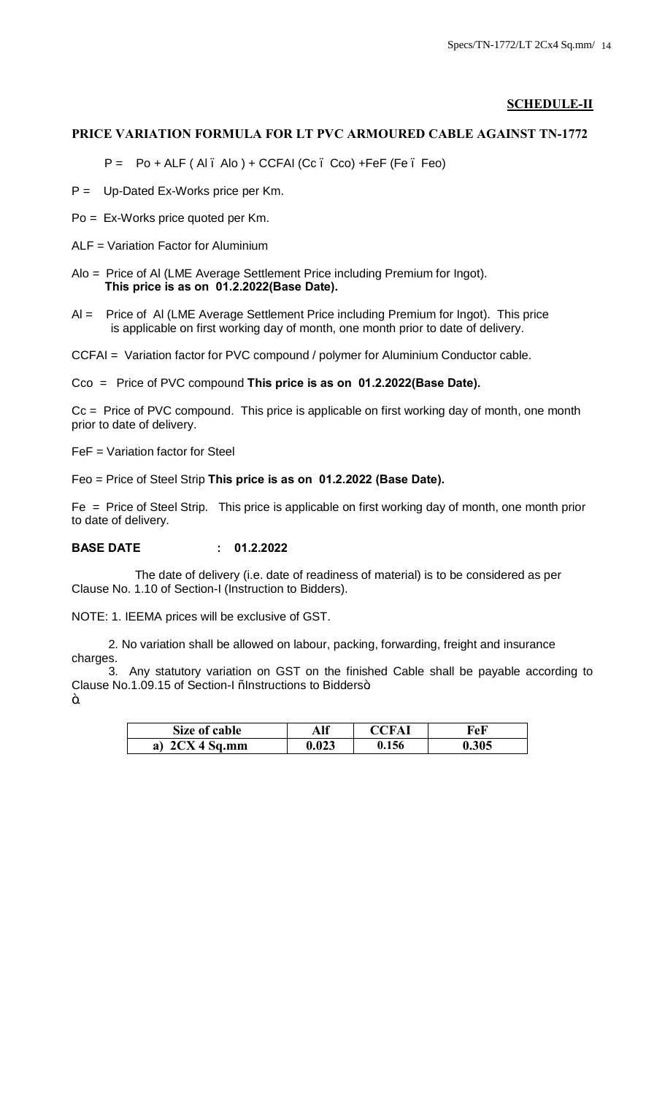# **SCHEDULE-II**

#### **PRICE VARIATION FORMULA FOR LT PVC ARMOURED CABLE AGAINST TN-1772**

P = Po + ALF ( Al – Alo ) + CCFAI (Cc – Cco) +FeF (Fe – Feo)

P = Up-Dated Ex-Works price per Km.

Po = Ex-Works price quoted per Km.

ALF = Variation Factor for Aluminium

Alo = Price of Al (LME Average Settlement Price including Premium for Ingot). **This price is as on 01.2.2022(Base Date).**

Al = Price of Al (LME Average Settlement Price including Premium for Ingot). This price is applicable on first working day of month, one month prior to date of delivery.

CCFAI = Variation factor for PVC compound / polymer for Aluminium Conductor cable.

Cco = Price of PVC compound **This price is as on 01.2.2022(Base Date).**

Cc = Price of PVC compound. This price is applicable on first working day of month, one month prior to date of delivery.

FeF = Variation factor for Steel

Feo = Price of Steel Strip **This price is as on 01.2.2022 (Base Date).**

Fe = Price of Steel Strip. This price is applicable on first working day of month, one month prior to date of delivery.

# **BASE DATE : 01.2.2022**

 The date of delivery (i.e. date of readiness of material) is to be considered as per Clause No. 1.10 of Section-I (Instruction to Bidders).

NOTE: 1. IEEMA prices will be exclusive of GST.

 2. No variation shall be allowed on labour, packing, forwarding, freight and insurance charges.

 3. Any statutory variation on GST on the finished Cable shall be payable according to Clause No.1.09.15 of Section-I % Instructions to Bidders+. ö.

| Size of cable | Alf   | <b>CFAI</b> | FeF   |
|---------------|-------|-------------|-------|
| $2CX4$ Sq.mm  | 0.023 | 0.156       | 0.305 |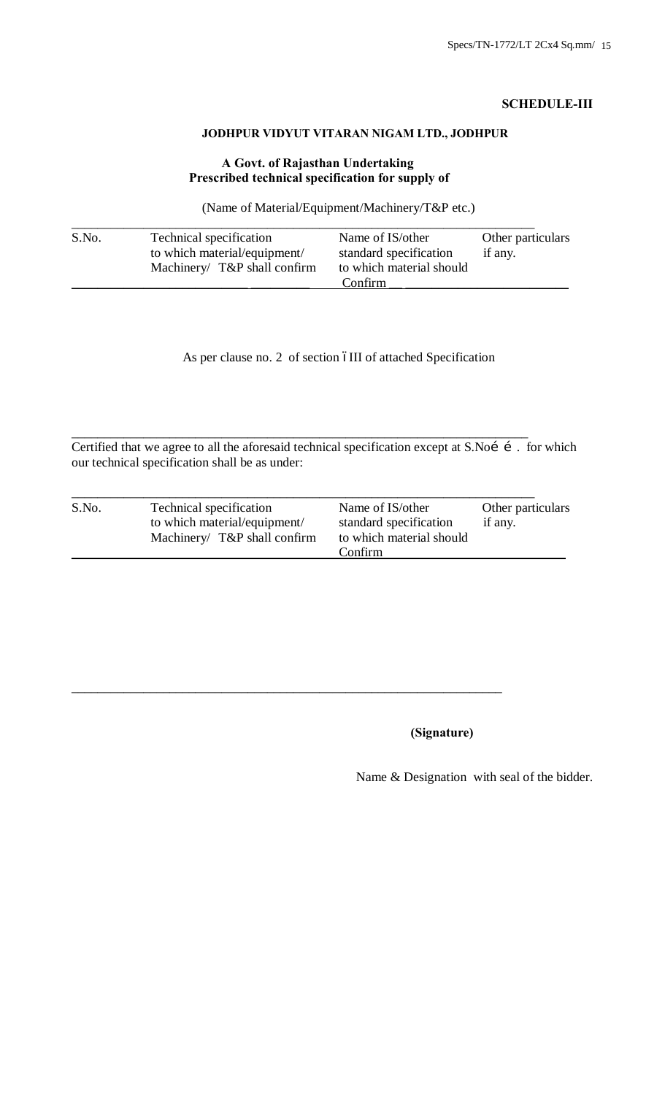# **SCHEDULE-III**

# **JODHPUR VIDYUT VITARAN NIGAM LTD., JODHPUR**

# **A Govt. of Rajasthan Undertaking Prescribed technical specification for supply of**

(Name of Material/Equipment/Machinery/T&P etc.)

| S.No. | Technical specification<br>to which material/equipment/<br>Machinery/ T&P shall confirm | Name of IS/other<br>standard specification | Other particulars<br>if any. |
|-------|-----------------------------------------------------------------------------------------|--------------------------------------------|------------------------------|
|       |                                                                                         | to which material should<br>Confirm        |                              |

As per clause no. 2 of section óIII of attached Specification

Certified that we agree to all the aforesaid technical specification except at S.Noí í. for which our technical specification shall be as under:

\_\_\_\_\_\_\_\_\_\_\_\_\_\_\_\_\_\_\_\_\_\_\_\_\_\_\_\_\_\_\_\_\_\_\_\_\_\_\_\_\_\_\_\_\_\_\_\_\_\_\_\_\_\_\_\_\_\_\_\_\_\_\_\_\_\_\_\_\_\_

\_\_\_\_\_\_\_\_\_\_\_\_\_\_\_\_\_\_\_\_\_\_\_\_\_\_\_\_\_\_\_\_\_\_\_\_\_\_\_\_\_\_\_\_\_\_\_\_\_\_\_\_\_\_\_\_\_\_\_\_\_\_\_\_\_\_

| S.No. | Technical specification      | Name of IS/other                    | Other particulars |
|-------|------------------------------|-------------------------------------|-------------------|
|       | to which material/equipment/ | standard specification              | if any.           |
|       | Machinery/ T&P shall confirm | to which material should<br>Confirm |                   |

# **(Signature)**

Name & Designation with seal of the bidder.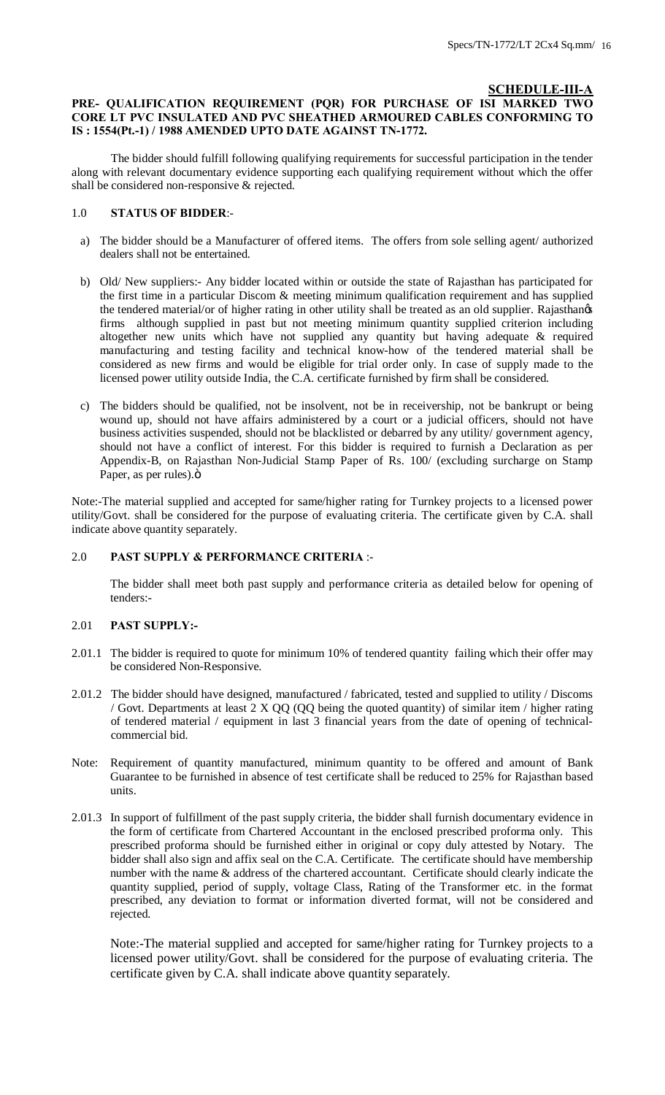# **SCHEDULE-III-A**

# **PRE- QUALIFICATION REQUIREMENT (PQR) FOR PURCHASE OF ISI MARKED TWO CORE LT PVC INSULATED AND PVC SHEATHED ARMOURED CABLES CONFORMING TO IS : 1554(Pt.-1) / 1988 AMENDED UPTO DATE AGAINST TN-1772.**

The bidder should fulfill following qualifying requirements for successful participation in the tender along with relevant documentary evidence supporting each qualifying requirement without which the offer shall be considered non-responsive & rejected.

#### 1.0 **STATUS OF BIDDER**:-

- a) The bidder should be a Manufacturer of offered items. The offers from sole selling agent/ authorized dealers shall not be entertained.
- b) Old/ New suppliers:- Any bidder located within or outside the state of Rajasthan has participated for the first time in a particular Discom & meeting minimum qualification requirement and has supplied the tendered material/or of higher rating in other utility shall be treated as an old supplier. Rajasthangs firms although supplied in past but not meeting minimum quantity supplied criterion including altogether new units which have not supplied any quantity but having adequate & required manufacturing and testing facility and technical know-how of the tendered material shall be considered as new firms and would be eligible for trial order only. In case of supply made to the licensed power utility outside India, the C.A. certificate furnished by firm shall be considered.
- c) The bidders should be qualified, not be insolvent, not be in receivership, not be bankrupt or being wound up, should not have affairs administered by a court or a judicial officers, should not have business activities suspended, should not be blacklisted or debarred by any utility/ government agency, should not have a conflict of interest. For this bidder is required to furnish a Declaration as per Appendix-B, on Rajasthan Non-Judicial Stamp Paper of Rs. 100/ (excluding surcharge on Stamp Paper, as per rules). ö

Note:-The material supplied and accepted for same/higher rating for Turnkey projects to a licensed power utility/Govt. shall be considered for the purpose of evaluating criteria. The certificate given by C.A. shall indicate above quantity separately.

#### 2.0 **PAST SUPPLY & PERFORMANCE CRITERIA** :-

The bidder shall meet both past supply and performance criteria as detailed below for opening of tenders:-

#### 2.01 **PAST SUPPLY:-**

- 2.01.1 The bidder is required to quote for minimum 10% of tendered quantity failing which their offer may be considered Non-Responsive.
- 2.01.2 The bidder should have designed, manufactured / fabricated, tested and supplied to utility / Discoms / Govt. Departments at least  $2 \times QQ$  (QQ being the quoted quantity) of similar item / higher rating of tendered material / equipment in last 3 financial years from the date of opening of technicalcommercial bid.
- Note: Requirement of quantity manufactured, minimum quantity to be offered and amount of Bank Guarantee to be furnished in absence of test certificate shall be reduced to 25% for Rajasthan based units.
- 2.01.3 In support of fulfillment of the past supply criteria, the bidder shall furnish documentary evidence in the form of certificate from Chartered Accountant in the enclosed prescribed proforma only. This prescribed proforma should be furnished either in original or copy duly attested by Notary. The bidder shall also sign and affix seal on the C.A. Certificate. The certificate should have membership number with the name & address of the chartered accountant. Certificate should clearly indicate the quantity supplied, period of supply, voltage Class, Rating of the Transformer etc. in the format prescribed, any deviation to format or information diverted format, will not be considered and rejected.

Note:-The material supplied and accepted for same/higher rating for Turnkey projects to a licensed power utility/Govt. shall be considered for the purpose of evaluating criteria. The certificate given by C.A. shall indicate above quantity separately.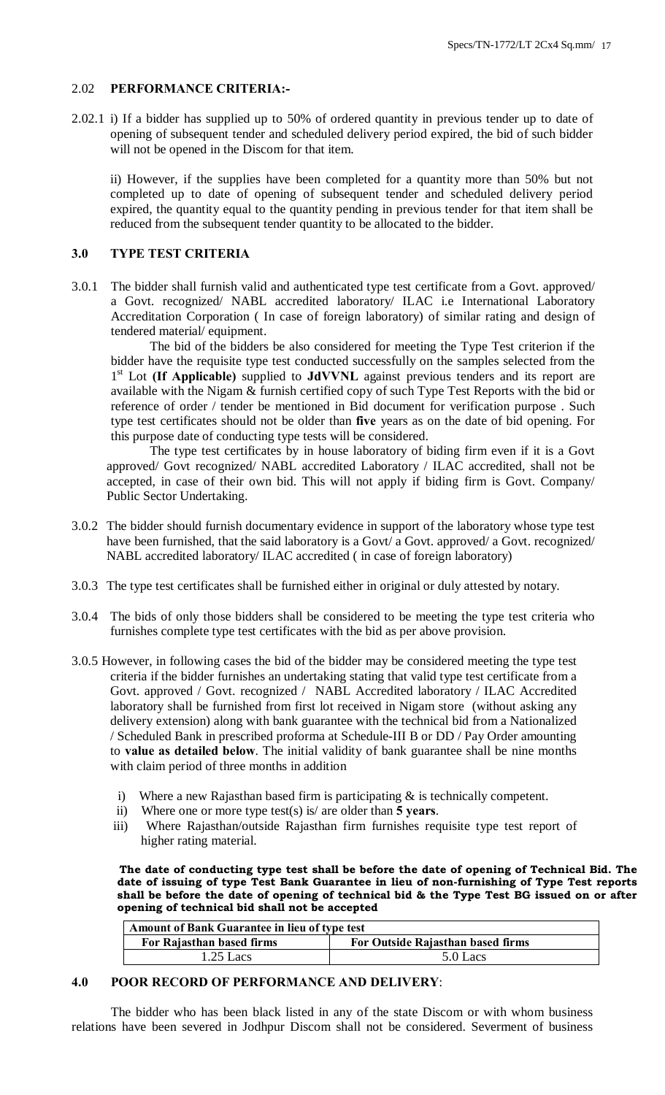# 2.02 **PERFORMANCE CRITERIA:-**

2.02.1 i) If a bidder has supplied up to 50% of ordered quantity in previous tender up to date of opening of subsequent tender and scheduled delivery period expired, the bid of such bidder will not be opened in the Discom for that item.

ii) However, if the supplies have been completed for a quantity more than 50% but not completed up to date of opening of subsequent tender and scheduled delivery period expired, the quantity equal to the quantity pending in previous tender for that item shall be reduced from the subsequent tender quantity to be allocated to the bidder.

# **3.0 TYPE TEST CRITERIA**

3.0.1 The bidder shall furnish valid and authenticated type test certificate from a Govt. approved/ a Govt. recognized/ NABL accredited laboratory/ ILAC i.e International Laboratory Accreditation Corporation ( In case of foreign laboratory) of similar rating and design of tendered material/ equipment.

The bid of the bidders be also considered for meeting the Type Test criterion if the bidder have the requisite type test conducted successfully on the samples selected from the 1st Lot **(If Applicable)** supplied to **JdVVNL** against previous tenders and its report are available with the Nigam & furnish certified copy of such Type Test Reports with the bid or reference of order / tender be mentioned in Bid document for verification purpose . Such type test certificates should not be older than **five** years as on the date of bid opening. For this purpose date of conducting type tests will be considered.

The type test certificates by in house laboratory of biding firm even if it is a Govt approved/ Govt recognized/ NABL accredited Laboratory / ILAC accredited, shall not be accepted, in case of their own bid. This will not apply if biding firm is Govt. Company/ Public Sector Undertaking.

- 3.0.2 The bidder should furnish documentary evidence in support of the laboratory whose type test have been furnished, that the said laboratory is a Govt/ a Govt. approved/ a Govt. recognized/ NABL accredited laboratory/ ILAC accredited ( in case of foreign laboratory)
- 3.0.3 The type test certificates shall be furnished either in original or duly attested by notary.
- 3.0.4 The bids of only those bidders shall be considered to be meeting the type test criteria who furnishes complete type test certificates with the bid as per above provision.
- 3.0.5 However, in following cases the bid of the bidder may be considered meeting the type test criteria if the bidder furnishes an undertaking stating that valid type test certificate from a Govt. approved / Govt. recognized / NABL Accredited laboratory / ILAC Accredited laboratory shall be furnished from first lot received in Nigam store (without asking any delivery extension) along with bank guarantee with the technical bid from a Nationalized / Scheduled Bank in prescribed proforma at Schedule-III B or DD / Pay Order amounting to **value as detailed below**. The initial validity of bank guarantee shall be nine months with claim period of three months in addition
	- i) Where a new Rajasthan based firm is participating  $\&$  is technically competent.
	- ii) Where one or more type test(s) is/ are older than **5 years**.
	- iii) Where Rajasthan/outside Rajasthan firm furnishes requisite type test report of higher rating material.

 **The date of conducting type test shall be before the date of opening of Technical Bid. The date of issuing of type Test Bank Guarantee in lieu of non-furnishing of Type Test reports shall be before the date of opening of technical bid & the Type Test BG issued on or after opening of technical bid shall not be accepted**

| Amount of Bank Guarantee in lieu of type test                  |          |  |
|----------------------------------------------------------------|----------|--|
| For Outside Rajasthan based firms<br>For Rajasthan based firms |          |  |
| $1.25$ Lacs                                                    | 5.0 Lacs |  |

# **4.0 POOR RECORD OF PERFORMANCE AND DELIVERY**:

The bidder who has been black listed in any of the state Discom or with whom business relations have been severed in Jodhpur Discom shall not be considered. Severment of business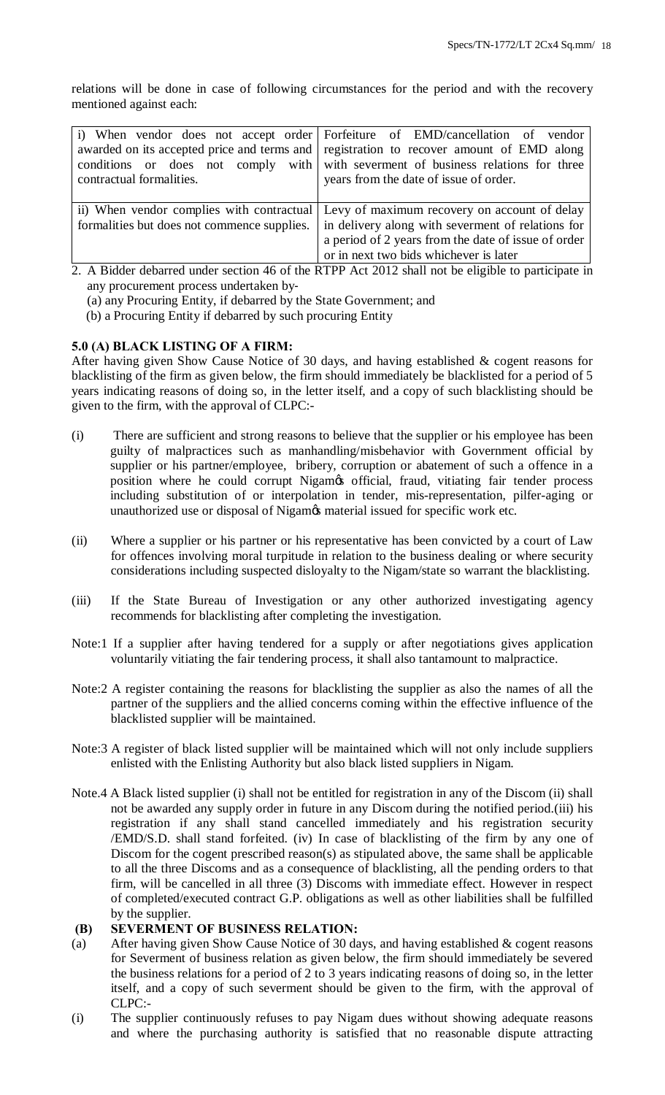relations will be done in case of following circumstances for the period and with the recovery mentioned against each:

| contractual formalities.                                                                           | i) When vendor does not accept order Forfeiture of EMD/cancellation of vendor<br>awarded on its accepted price and terms and registration to recover amount of EMD along<br>conditions or does not comply with with severment of business relations for three<br>years from the date of issue of order. |
|----------------------------------------------------------------------------------------------------|---------------------------------------------------------------------------------------------------------------------------------------------------------------------------------------------------------------------------------------------------------------------------------------------------------|
|                                                                                                    | ii) When vendor complies with contractual Levy of maximum recovery on account of delay                                                                                                                                                                                                                  |
| formalities but does not commence supplies.                                                        | in delivery along with severment of relations for                                                                                                                                                                                                                                                       |
|                                                                                                    | a period of 2 years from the date of issue of order                                                                                                                                                                                                                                                     |
|                                                                                                    | or in next two bids whichever is later                                                                                                                                                                                                                                                                  |
| 2. A Bidder debarred under section 46 of the RTPP Act 2012 shall not be eligible to participate in |                                                                                                                                                                                                                                                                                                         |

- any procurement process undertaken by‐
- (a) any Procuring Entity, if debarred by the State Government; and
- (b) a Procuring Entity if debarred by such procuring Entity

# **5.0 (A) BLACK LISTING OF A FIRM:**

After having given Show Cause Notice of 30 days, and having established & cogent reasons for blacklisting of the firm as given below, the firm should immediately be blacklisted for a period of 5 years indicating reasons of doing so, in the letter itself, and a copy of such blacklisting should be given to the firm, with the approval of CLPC:-

- (i) There are sufficient and strong reasons to believe that the supplier or his employee has been guilty of malpractices such as manhandling/misbehavior with Government official by supplier or his partner/employee, bribery, corruption or abatement of such a offence in a position where he could corrupt Nigamos official, fraud, vitiating fair tender process including substitution of or interpolation in tender, mis-representation, pilfer-aging or unauthorized use or disposal of Nigam $\alpha$  material issued for specific work etc.
- (ii) Where a supplier or his partner or his representative has been convicted by a court of Law for offences involving moral turpitude in relation to the business dealing or where security considerations including suspected disloyalty to the Nigam/state so warrant the blacklisting.
- (iii) If the State Bureau of Investigation or any other authorized investigating agency recommends for blacklisting after completing the investigation.
- Note:1 If a supplier after having tendered for a supply or after negotiations gives application voluntarily vitiating the fair tendering process, it shall also tantamount to malpractice.
- Note:2 A register containing the reasons for blacklisting the supplier as also the names of all the partner of the suppliers and the allied concerns coming within the effective influence of the blacklisted supplier will be maintained.
- Note:3 A register of black listed supplier will be maintained which will not only include suppliers enlisted with the Enlisting Authority but also black listed suppliers in Nigam.
- Note.4 A Black listed supplier (i) shall not be entitled for registration in any of the Discom (ii) shall not be awarded any supply order in future in any Discom during the notified period.(iii) his registration if any shall stand cancelled immediately and his registration security /EMD/S.D. shall stand forfeited. (iv) In case of blacklisting of the firm by any one of Discom for the cogent prescribed reason(s) as stipulated above, the same shall be applicable to all the three Discoms and as a consequence of blacklisting, all the pending orders to that firm, will be cancelled in all three (3) Discoms with immediate effect. However in respect of completed/executed contract G.P. obligations as well as other liabilities shall be fulfilled by the supplier.

#### **(B) SEVERMENT OF BUSINESS RELATION:**

- (a) After having given Show Cause Notice of 30 days, and having established & cogent reasons for Severment of business relation as given below, the firm should immediately be severed the business relations for a period of 2 to 3 years indicating reasons of doing so, in the letter itself, and a copy of such severment should be given to the firm, with the approval of CLPC:-
- (i) The supplier continuously refuses to pay Nigam dues without showing adequate reasons and where the purchasing authority is satisfied that no reasonable dispute attracting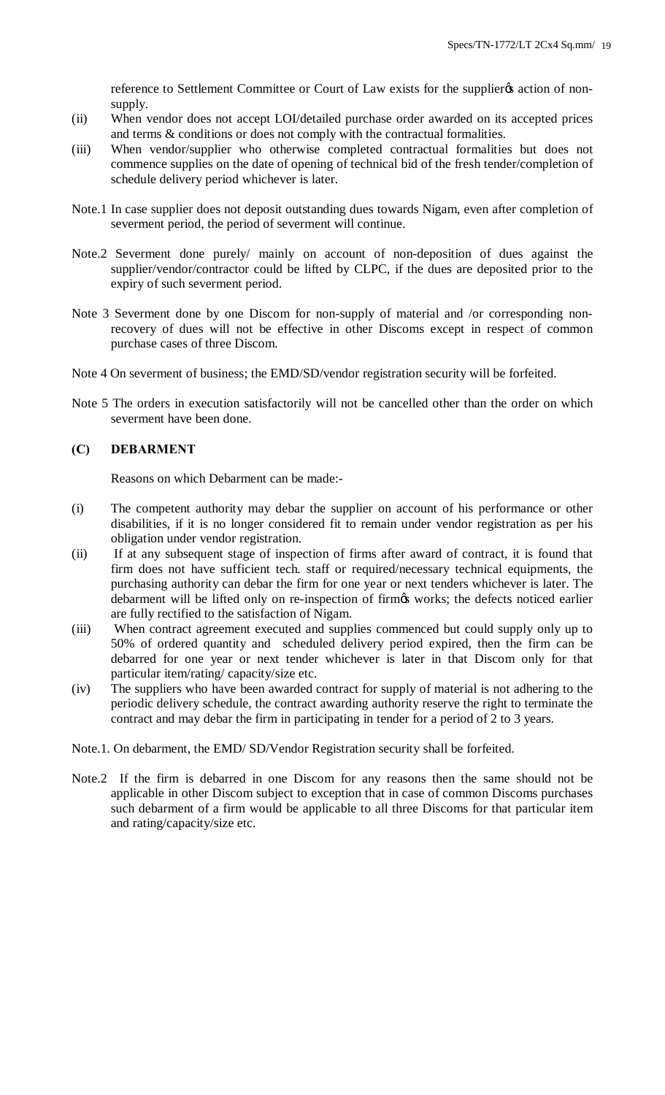reference to Settlement Committee or Court of Law exists for the supplier  $\alpha$  action of nonsupply.

- (ii) When vendor does not accept LOI/detailed purchase order awarded on its accepted prices and terms & conditions or does not comply with the contractual formalities.
- (iii) When vendor/supplier who otherwise completed contractual formalities but does not commence supplies on the date of opening of technical bid of the fresh tender/completion of schedule delivery period whichever is later.
- Note.1 In case supplier does not deposit outstanding dues towards Nigam, even after completion of severment period, the period of severment will continue.
- Note.2 Severment done purely/ mainly on account of non-deposition of dues against the supplier/vendor/contractor could be lifted by CLPC, if the dues are deposited prior to the expiry of such severment period.
- Note 3 Severment done by one Discom for non-supply of material and /or corresponding nonrecovery of dues will not be effective in other Discoms except in respect of common purchase cases of three Discom.
- Note 4 On severment of business; the EMD/SD/vendor registration security will be forfeited.
- Note 5 The orders in execution satisfactorily will not be cancelled other than the order on which severment have been done.

# **(C) DEBARMENT**

Reasons on which Debarment can be made:-

- (i) The competent authority may debar the supplier on account of his performance or other disabilities, if it is no longer considered fit to remain under vendor registration as per his obligation under vendor registration.
- (ii) If at any subsequent stage of inspection of firms after award of contract, it is found that firm does not have sufficient tech. staff or required/necessary technical equipments, the purchasing authority can debar the firm for one year or next tenders whichever is later. The debarment will be lifted only on re-inspection of firm $\alpha$  works; the defects noticed earlier are fully rectified to the satisfaction of Nigam.
- (iii) When contract agreement executed and supplies commenced but could supply only up to 50% of ordered quantity and scheduled delivery period expired, then the firm can be debarred for one year or next tender whichever is later in that Discom only for that particular item/rating/ capacity/size etc.
- (iv) The suppliers who have been awarded contract for supply of material is not adhering to the periodic delivery schedule, the contract awarding authority reserve the right to terminate the contract and may debar the firm in participating in tender for a period of 2 to 3 years.
- Note.1. On debarment, the EMD/ SD/Vendor Registration security shall be forfeited.
- Note.2 If the firm is debarred in one Discom for any reasons then the same should not be applicable in other Discom subject to exception that in case of common Discoms purchases such debarment of a firm would be applicable to all three Discoms for that particular item and rating/capacity/size etc.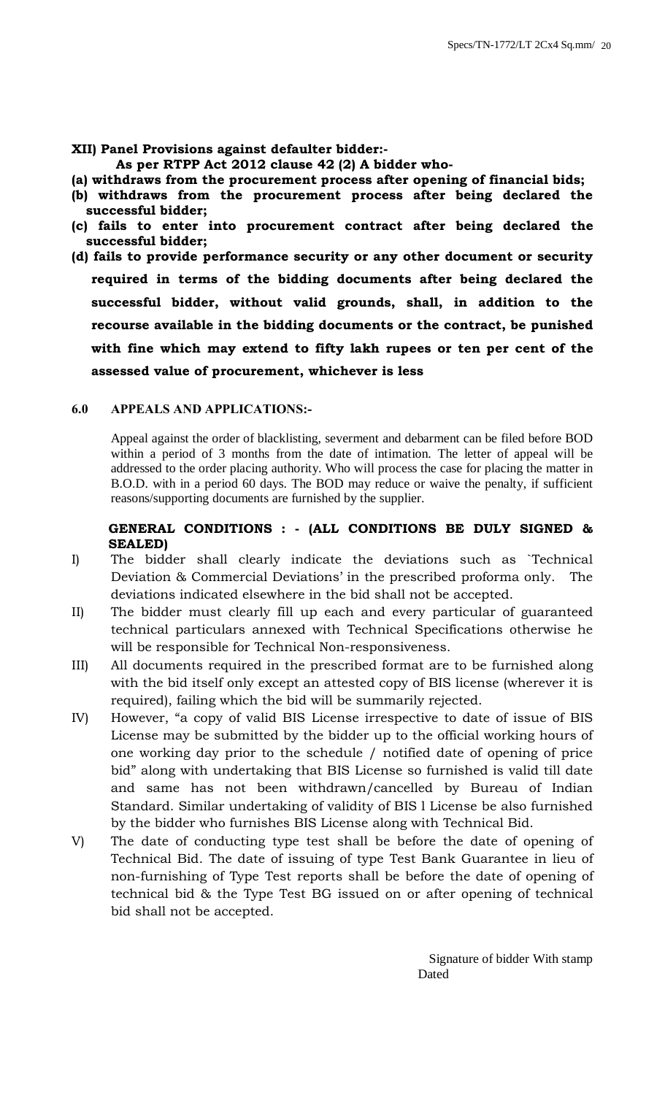**XII) Panel Provisions against defaulter bidder:-**

 **As per RTPP Act 2012 clause 42 (2) A bidder who-**

- **(a) withdraws from the procurement process after opening of financial bids;**
- **(b) withdraws from the procurement process after being declared the successful bidder;**
- **(c) fails to enter into procurement contract after being declared the successful bidder;**
- **(d) fails to provide performance security or any other document or security required in terms of the bidding documents after being declared the successful bidder, without valid grounds, shall, in addition to the recourse available in the bidding documents or the contract, be punished with fine which may extend to fifty lakh rupees or ten per cent of the assessed value of procurement, whichever is less**

# **6.0 APPEALS AND APPLICATIONS:-**

Appeal against the order of blacklisting, severment and debarment can be filed before BOD within a period of 3 months from the date of intimation. The letter of appeal will be addressed to the order placing authority. Who will process the case for placing the matter in B.O.D. with in a period 60 days. The BOD may reduce or waive the penalty, if sufficient reasons/supporting documents are furnished by the supplier.

# **GENERAL CONDITIONS : - (ALL CONDITIONS BE DULY SIGNED & SEALED)**

- I) The bidder shall clearly indicate the deviations such as `Technical Deviation & Commercial Deviations' in the prescribed proforma only. The deviations indicated elsewhere in the bid shall not be accepted.
- II) The bidder must clearly fill up each and every particular of guaranteed technical particulars annexed with Technical Specifications otherwise he will be responsible for Technical Non-responsiveness.
- III) All documents required in the prescribed format are to be furnished along with the bid itself only except an attested copy of BIS license (wherever it is required), failing which the bid will be summarily rejected.
- IV) However, "a copy of valid BIS License irrespective to date of issue of BIS License may be submitted by the bidder up to the official working hours of one working day prior to the schedule / notified date of opening of price bid" along with undertaking that BIS License so furnished is valid till date and same has not been withdrawn/cancelled by Bureau of Indian Standard. Similar undertaking of validity of BIS l License be also furnished by the bidder who furnishes BIS License along with Technical Bid.
- V) The date of conducting type test shall be before the date of opening of Technical Bid. The date of issuing of type Test Bank Guarantee in lieu of non-furnishing of Type Test reports shall be before the date of opening of technical bid & the Type Test BG issued on or after opening of technical bid shall not be accepted.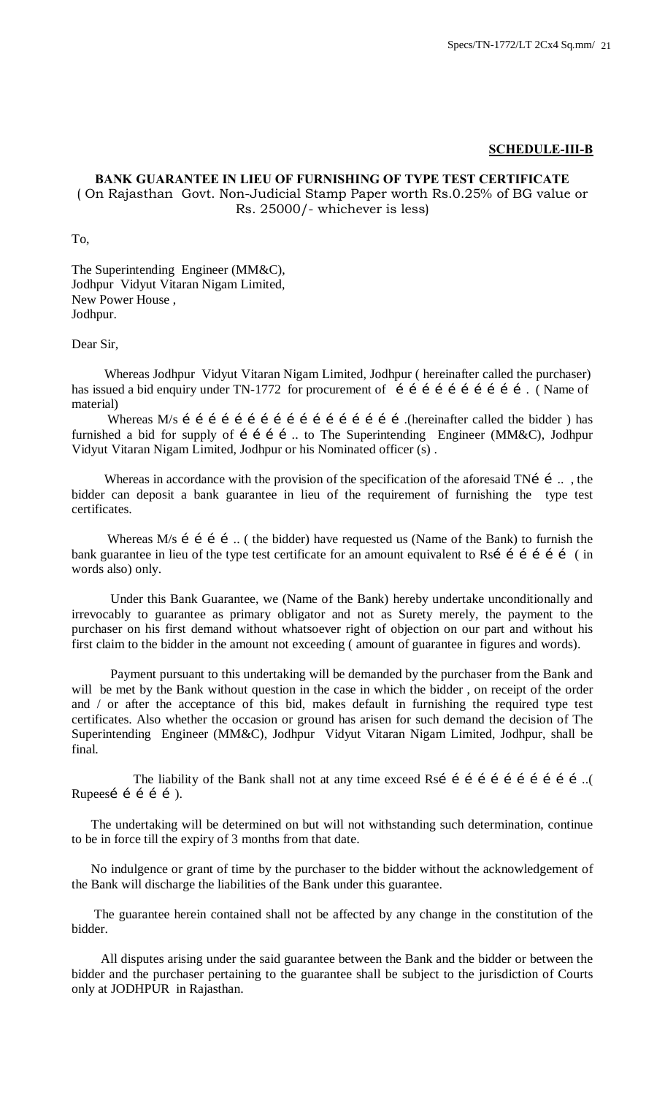#### **SCHEDULE-III-B**

# **BANK GUARANTEE IN LIEU OF FURNISHING OF TYPE TEST CERTIFICATE**

( On Rajasthan Govt. Non-Judicial Stamp Paper worth Rs.0.25% of BG value or Rs. 25000/- whichever is less)

To,

The Superintending Engineer (MM&C), Jodhpur Vidyut Vitaran Nigam Limited, New Power House , Jodhpur.

Dear Sir,

 Whereas Jodhpur Vidyut Vitaran Nigam Limited, Jodhpur ( hereinafter called the purchaser) has issued a bid enquiry under TN-1772 for procurement of í í í í í í í í í í í. (Name of material)

 Whereas M/s …………………………………………….(hereinafter called the bidder ) has furnished a bid for supply of i i i i ... to The Superintending Engineer (MM&C), Jodhpur Vidyut Vitaran Nigam Limited, Jodhpur or his Nominated officer (s) .

Whereas in accordance with the provision of the specification of the aforesaid TNi  $\,$ i  $\,$ ..., the bidder can deposit a bank guarantee in lieu of the requirement of furnishing the type test certificates.

Whereas M/s  $\acute{i}$  i  $\acute{i}$  ... ( the bidder) have requested us (Name of the Bank) to furnish the bank guarantee in lieu of the type test certificate for an amount equivalent to Rs……………… ( in words also) only.

 Under this Bank Guarantee, we (Name of the Bank) hereby undertake unconditionally and irrevocably to guarantee as primary obligator and not as Surety merely, the payment to the purchaser on his first demand without whatsoever right of objection on our part and without his first claim to the bidder in the amount not exceeding ( amount of guarantee in figures and words).

 Payment pursuant to this undertaking will be demanded by the purchaser from the Bank and will be met by the Bank without question in the case in which the bidder, on receipt of the order and / or after the acceptance of this bid, makes default in furnishing the required type test certificates. Also whether the occasion or ground has arisen for such demand the decision of The Superintending Engineer (MM&C), Jodhpur Vidyut Vitaran Nigam Limited, Jodhpur, shall be final.

The liability of the Bank shall not at any time exceed Rsi i i i i i i i i i i... Rupeesí í í í í ).

 The undertaking will be determined on but will not withstanding such determination, continue to be in force till the expiry of 3 months from that date.

 No indulgence or grant of time by the purchaser to the bidder without the acknowledgement of the Bank will discharge the liabilities of the Bank under this guarantee.

 The guarantee herein contained shall not be affected by any change in the constitution of the bidder.

 All disputes arising under the said guarantee between the Bank and the bidder or between the bidder and the purchaser pertaining to the guarantee shall be subject to the jurisdiction of Courts only at JODHPUR in Rajasthan.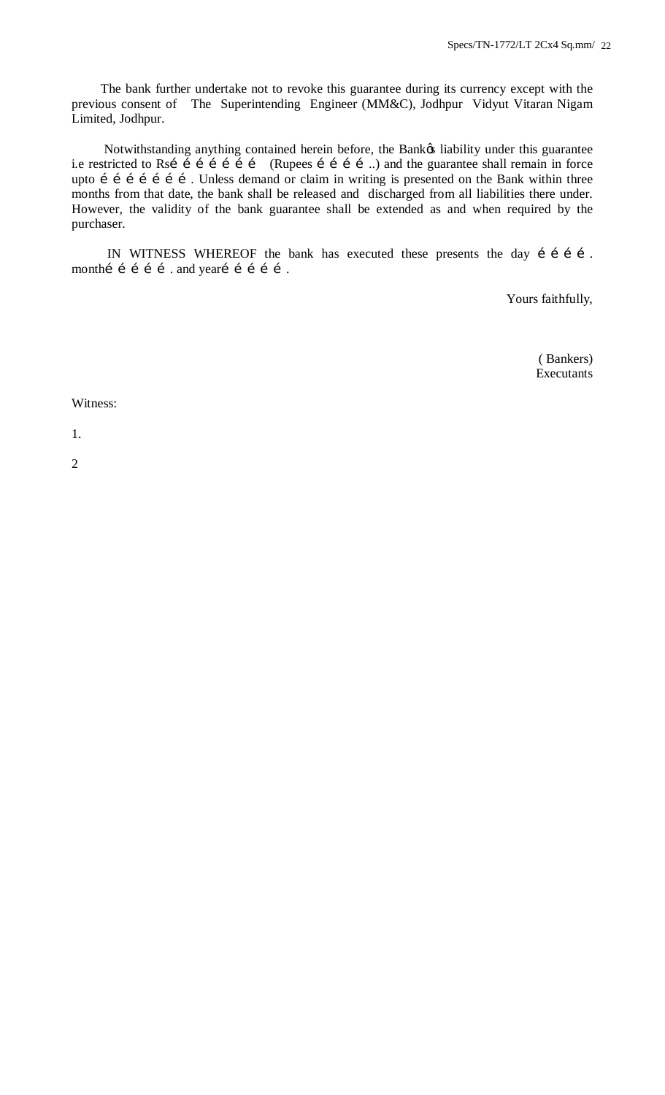The bank further undertake not to revoke this guarantee during its currency except with the previous consent of The Superintending Engineer (MM&C), Jodhpur Vidyut Vitaran Nigam Limited, Jodhpur.

Notwithstanding anything contained herein before, the Bankø liability under this guarantee i.e restricted to Rsi  $\tilde{i}$  i  $\tilde{j}$  i  $\tilde{j}$  i  $\tilde{k}$  (Rupees i i i i  $\tilde{j}$ ) and the guarantee shall remain in force upto i i i i i i i. Unless demand or claim in writing is presented on the Bank within three months from that date, the bank shall be released and discharged from all liabilities there under. However, the validity of the bank guarantee shall be extended as and when required by the purchaser.

IN WITNESS WHEREOF the bank has executed these presents the day i i i i . monthí í í í í . and yearí í í í í .

Yours faithfully,

 ( Bankers) Executants

#### Witness:

1.

2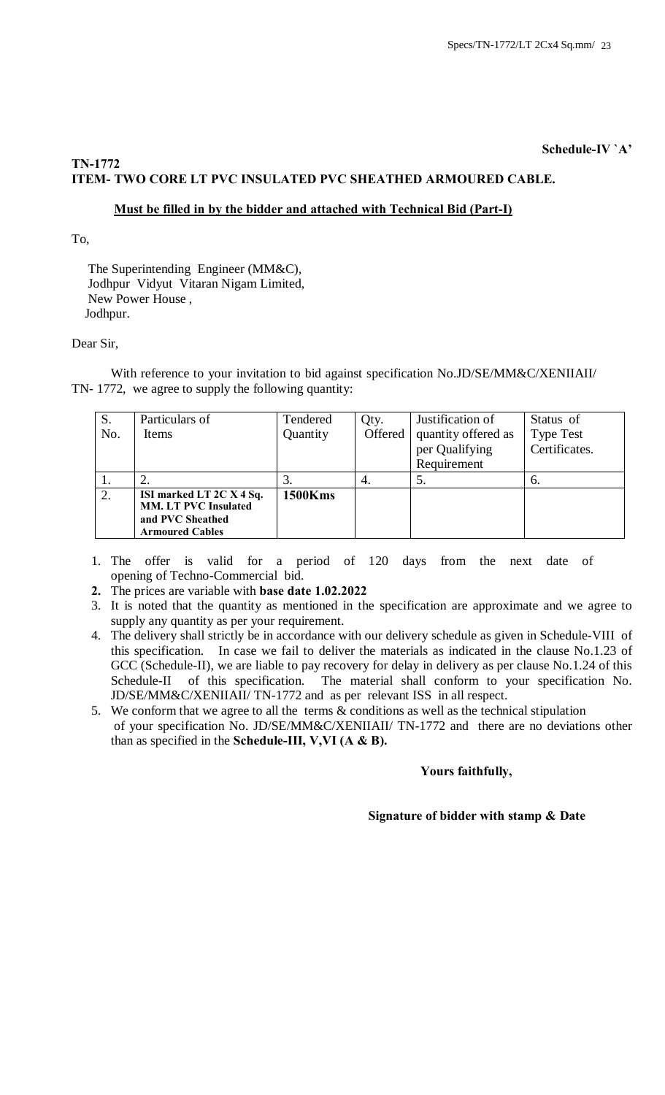# **Schedule-IV `A'**

# **TN-1772 ITEM- TWO CORE LT PVC INSULATED PVC SHEATHED ARMOURED CABLE.**

# **Must be filled in by the bidder and attached with Technical Bid (Part-I)**

To,

 The Superintending Engineer (MM&C), Jodhpur Vidyut Vitaran Nigam Limited, New Power House , Jodhpur.

# Dear Sir,

With reference to your invitation to bid against specification No.JD/SE/MM&C/XENIIAII/ TN- 1772, we agree to supply the following quantity:

| S.  | Particulars of                                                                                        | Tendered       | Qty.    | Justification of    | Status of        |
|-----|-------------------------------------------------------------------------------------------------------|----------------|---------|---------------------|------------------|
| No. | <b>Items</b>                                                                                          | Quantity       | Offered | quantity offered as | <b>Type Test</b> |
|     |                                                                                                       |                |         | per Qualifying      | Certificates.    |
|     |                                                                                                       |                |         | Requirement         |                  |
|     |                                                                                                       | c.             | 4.      | C.                  | 6.               |
| 2.  | ISI marked LT 2C X 4 Sq.<br><b>MM. LT PVC Insulated</b><br>and PVC Sheathed<br><b>Armoured Cables</b> | <b>1500Kms</b> |         |                     |                  |

1. The offer is valid for a period of 120 days from the next date of opening of Techno-Commercial bid.

**2.** The prices are variable with **base date 1.02.2022**

- 3. It is noted that the quantity as mentioned in the specification are approximate and we agree to supply any quantity as per your requirement.
- 4. The delivery shall strictly be in accordance with our delivery schedule as given in Schedule-VIII of this specification. In case we fail to deliver the materials as indicated in the clause No.1.23 of GCC (Schedule-II), we are liable to pay recovery for delay in delivery as per clause No.1.24 of this Schedule-II of this specification. The material shall conform to your specification No. JD/SE/MM&C/XENIIAII/ TN-1772 and as per relevant ISS in all respect.
- 5. We conform that we agree to all the terms & conditions as well as the technical stipulation of your specification No. JD/SE/MM&C/XENIIAII/ TN-1772 and there are no deviations other than as specified in the **Schedule-III, V,VI (A & B).**

# **Yours faithfully,**

# **Signature of bidder with stamp & Date**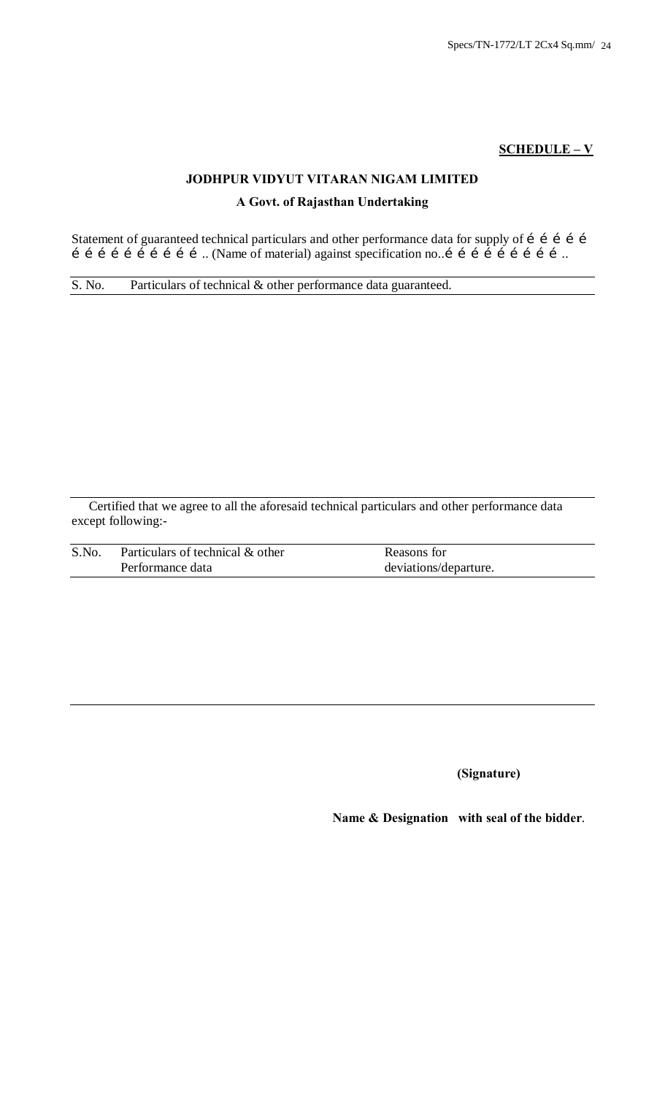# **SCHEDULE – V**

# **JODHPUR VIDYUT VITARAN NIGAM LIMITED A Govt. of Rajasthan Undertaking**

Statement of guaranteed technical particulars and other performance data for supply of i i i i i  $\mathbf{i}$   $\mathbf{i}$   $\mathbf{j}$   $\mathbf{j}$   $\mathbf{k}$   $\mathbf{i}$   $\mathbf{k}$   $\mathbf{j}$   $\mathbf{k}$   $\mathbf{k}$   $\mathbf{k}$  against specification no... $\mathbf{i}$   $\mathbf{i}$   $\mathbf{j}$   $\mathbf{i}$   $\mathbf{j}$   $\mathbf{i}$   $\mathbf{j}$   $\mathbf{k}$   $\mathbf{k}$   $\mathbf{k}$ 

S. No. Particulars of technical & other performance data guaranteed.

Certified that we agree to all the aforesaid technical particulars and other performance data except following:-

| S.No. | Particulars of technical & other | Reasons for           |
|-------|----------------------------------|-----------------------|
|       | Performance data                 | deviations/departure. |

**(Signature)**

 **Name & Designation with seal of the bidder**.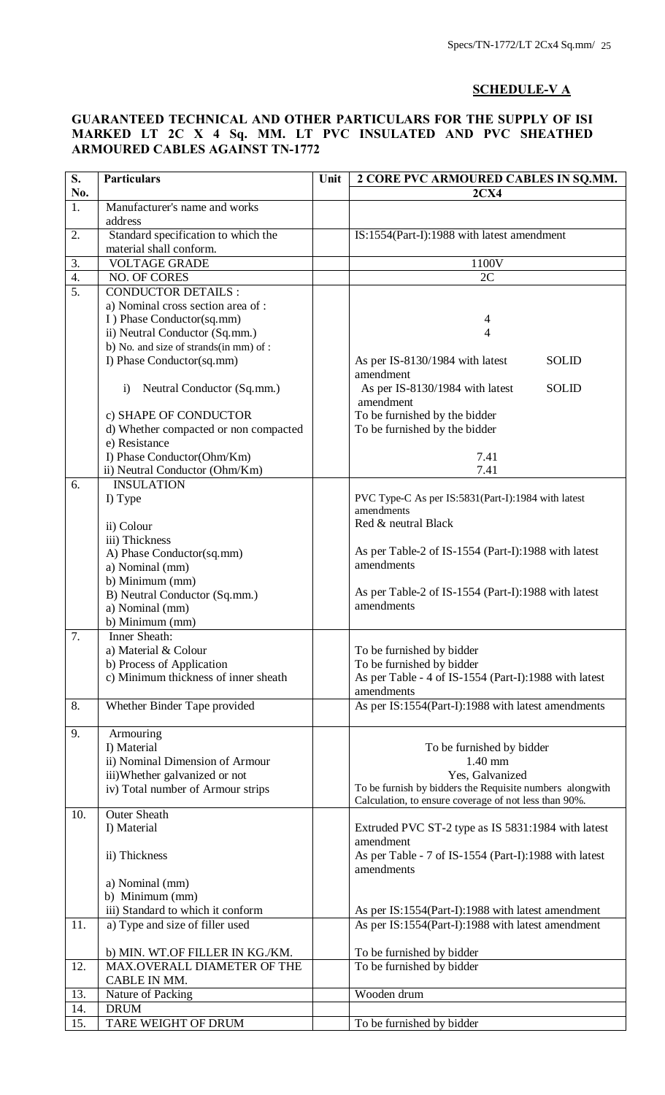# **SCHEDULE-V A**

# **GUARANTEED TECHNICAL AND OTHER PARTICULARS FOR THE SUPPLY OF ISI MARKED LT 2C X 4 Sq. MM. LT PVC INSULATED AND PVC SHEATHED ARMOURED CABLES AGAINST TN-1772**

| S.               | <b>Particulars</b>                     | Unit<br>2 CORE PVC ARMOURED CABLES IN SQ.MM. |                                                                                                                   |  |  |  |
|------------------|----------------------------------------|----------------------------------------------|-------------------------------------------------------------------------------------------------------------------|--|--|--|
| No.              |                                        |                                              | 2C <sub>X4</sub>                                                                                                  |  |  |  |
| $\overline{1}$ . | Manufacturer's name and works          |                                              |                                                                                                                   |  |  |  |
|                  | address                                |                                              |                                                                                                                   |  |  |  |
| 2.               | Standard specification to which the    |                                              | IS:1554(Part-I):1988 with latest amendment                                                                        |  |  |  |
|                  | material shall conform.                |                                              |                                                                                                                   |  |  |  |
| 3.               | <b>VOLTAGE GRADE</b>                   |                                              | 1100V                                                                                                             |  |  |  |
| 4.               | NO. OF CORES                           |                                              | 2C                                                                                                                |  |  |  |
| 5.               | <b>CONDUCTOR DETAILS:</b>              |                                              |                                                                                                                   |  |  |  |
|                  | a) Nominal cross section area of :     |                                              |                                                                                                                   |  |  |  |
|                  | I) Phase Conductor(sq.mm)              |                                              | 4                                                                                                                 |  |  |  |
|                  | ii) Neutral Conductor (Sq.mm.)         |                                              | 4                                                                                                                 |  |  |  |
|                  | b) No. and size of strands(in mm) of : |                                              |                                                                                                                   |  |  |  |
|                  | I) Phase Conductor(sq.mm)              |                                              | <b>SOLID</b><br>As per IS-8130/1984 with latest<br>amendment                                                      |  |  |  |
|                  | Neutral Conductor (Sq.mm.)<br>i)       |                                              | As per IS-8130/1984 with latest<br><b>SOLID</b>                                                                   |  |  |  |
|                  |                                        |                                              | amendment                                                                                                         |  |  |  |
|                  | c) SHAPE OF CONDUCTOR                  |                                              | To be furnished by the bidder                                                                                     |  |  |  |
|                  | d) Whether compacted or non compacted  |                                              | To be furnished by the bidder                                                                                     |  |  |  |
|                  | e) Resistance                          |                                              |                                                                                                                   |  |  |  |
|                  | I) Phase Conductor(Ohm/Km)             |                                              | 7.41                                                                                                              |  |  |  |
|                  | ii) Neutral Conductor (Ohm/Km)         |                                              | 7.41                                                                                                              |  |  |  |
| 6.               | <b>INSULATION</b>                      |                                              |                                                                                                                   |  |  |  |
|                  | I) Type                                |                                              | PVC Type-C As per IS:5831(Part-I):1984 with latest<br>amendments                                                  |  |  |  |
|                  |                                        |                                              | Red & neutral Black                                                                                               |  |  |  |
|                  | ii) Colour                             |                                              |                                                                                                                   |  |  |  |
|                  | iii) Thickness                         |                                              | As per Table-2 of IS-1554 (Part-I):1988 with latest                                                               |  |  |  |
|                  | A) Phase Conductor(sq.mm)              |                                              | amendments                                                                                                        |  |  |  |
|                  | a) Nominal (mm)<br>b) Minimum (mm)     |                                              |                                                                                                                   |  |  |  |
|                  | B) Neutral Conductor (Sq.mm.)          |                                              | As per Table-2 of IS-1554 (Part-I):1988 with latest                                                               |  |  |  |
|                  | a) Nominal (mm)                        |                                              | amendments                                                                                                        |  |  |  |
|                  | b) Minimum (mm)                        |                                              |                                                                                                                   |  |  |  |
| 7.               | <b>Inner Sheath:</b>                   |                                              |                                                                                                                   |  |  |  |
|                  | a) Material & Colour                   |                                              | To be furnished by bidder                                                                                         |  |  |  |
|                  | b) Process of Application              |                                              | To be furnished by bidder                                                                                         |  |  |  |
|                  | c) Minimum thickness of inner sheath   |                                              | As per Table - 4 of IS-1554 (Part-I):1988 with latest                                                             |  |  |  |
|                  |                                        |                                              | amendments                                                                                                        |  |  |  |
| 8.               | Whether Binder Tape provided           |                                              | As per IS:1554(Part-I):1988 with latest amendments                                                                |  |  |  |
|                  |                                        |                                              |                                                                                                                   |  |  |  |
| 9.               | Armouring                              |                                              |                                                                                                                   |  |  |  |
|                  | I) Material                            |                                              | To be furnished by bidder                                                                                         |  |  |  |
|                  | ii) Nominal Dimension of Armour        |                                              | 1.40 mm                                                                                                           |  |  |  |
|                  | iii)Whether galvanized or not          |                                              | Yes, Galvanized                                                                                                   |  |  |  |
|                  | iv) Total number of Armour strips      |                                              | To be furnish by bidders the Requisite numbers alongwith<br>Calculation, to ensure coverage of not less than 90%. |  |  |  |
| 10.              | Outer Sheath                           |                                              |                                                                                                                   |  |  |  |
|                  | I) Material                            |                                              | Extruded PVC ST-2 type as IS 5831:1984 with latest                                                                |  |  |  |
|                  |                                        |                                              | amendment                                                                                                         |  |  |  |
|                  | ii) Thickness                          |                                              | As per Table - 7 of IS-1554 (Part-I):1988 with latest                                                             |  |  |  |
|                  |                                        |                                              | amendments                                                                                                        |  |  |  |
|                  | a) Nominal (mm)                        |                                              |                                                                                                                   |  |  |  |
|                  | b) Minimum (mm)                        |                                              |                                                                                                                   |  |  |  |
|                  | iii) Standard to which it conform      |                                              | As per IS:1554(Part-I):1988 with latest amendment                                                                 |  |  |  |
| 11.              | a) Type and size of filler used        |                                              | As per IS:1554(Part-I):1988 with latest amendment                                                                 |  |  |  |
|                  | b) MIN. WT.OF FILLER IN KG./KM.        |                                              | To be furnished by bidder                                                                                         |  |  |  |
| 12.              | MAX.OVERALL DIAMETER OF THE            |                                              | To be furnished by bidder                                                                                         |  |  |  |
|                  | CABLE IN MM.                           |                                              |                                                                                                                   |  |  |  |
| 13.              | Nature of Packing                      |                                              | Wooden drum                                                                                                       |  |  |  |
| 14.              | <b>DRUM</b>                            |                                              |                                                                                                                   |  |  |  |
| 15.              | TARE WEIGHT OF DRUM                    |                                              | To be furnished by bidder                                                                                         |  |  |  |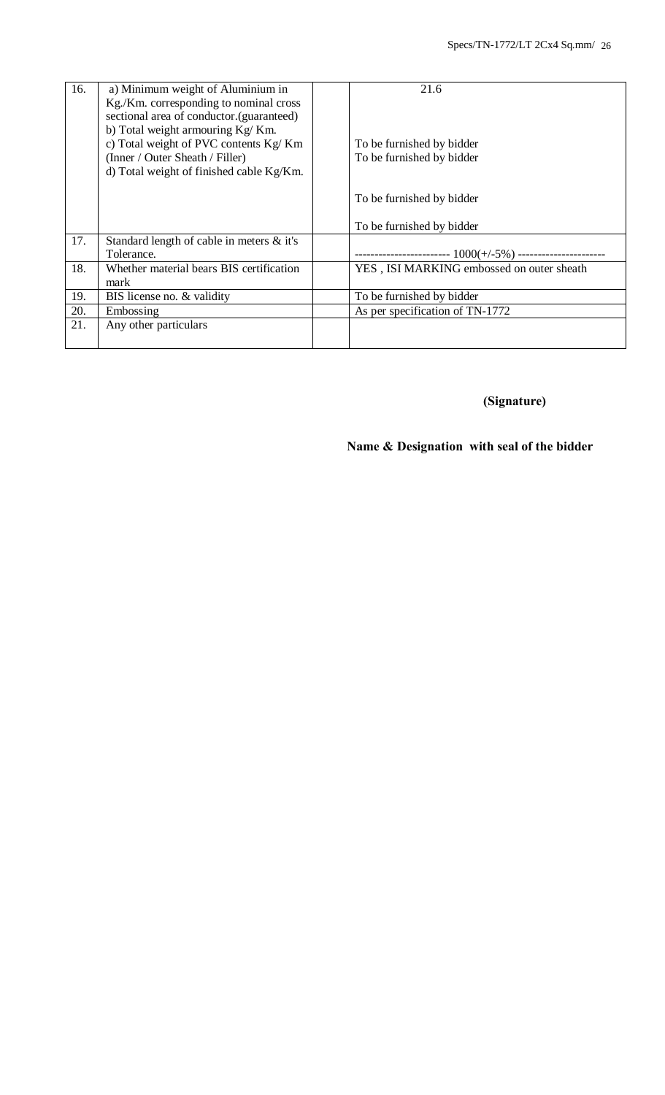| 16. | a) Minimum weight of Aluminium in<br>Kg./Km. corresponding to nominal cross<br>sectional area of conductor.(guaranteed)                                  | 21.6                                                   |
|-----|----------------------------------------------------------------------------------------------------------------------------------------------------------|--------------------------------------------------------|
|     | b) Total weight armouring Kg/Km.<br>c) Total weight of PVC contents Kg/Km<br>(Inner / Outer Sheath / Filler)<br>d) Total weight of finished cable Kg/Km. | To be furnished by bidder<br>To be furnished by bidder |
|     |                                                                                                                                                          | To be furnished by bidder                              |
|     |                                                                                                                                                          | To be furnished by bidder                              |
| 17. | Standard length of cable in meters & it's<br>Tolerance.                                                                                                  |                                                        |
| 18. | Whether material bears BIS certification<br>mark                                                                                                         | YES, ISI MARKING embossed on outer sheath              |
| 19. | BIS license no. & validity                                                                                                                               | To be furnished by bidder                              |
| 20. | Embossing                                                                                                                                                | As per specification of TN-1772                        |
| 21. | Any other particulars                                                                                                                                    |                                                        |

# **(Signature)**

# **Name & Designation with seal of the bidder**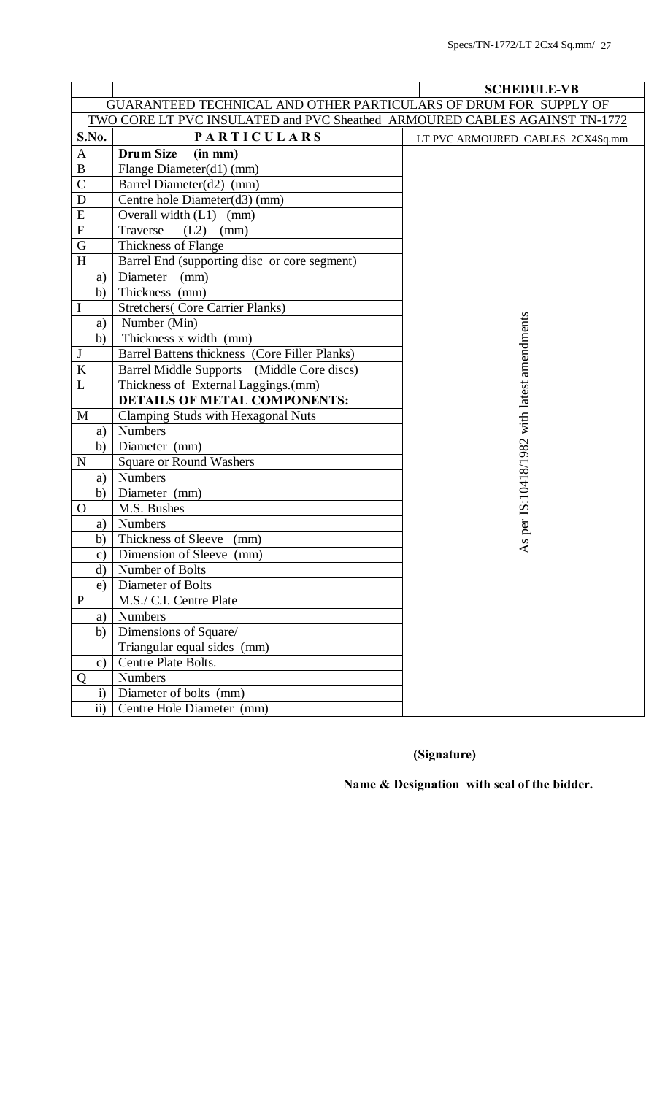|                                                                            |                                               | <b>SCHEDULE-VB</b>                          |  |  |  |  |  |
|----------------------------------------------------------------------------|-----------------------------------------------|---------------------------------------------|--|--|--|--|--|
| GUARANTEED TECHNICAL AND OTHER PARTICULARS OF DRUM FOR SUPPLY OF           |                                               |                                             |  |  |  |  |  |
| TWO CORE LT PVC INSULATED and PVC Sheathed ARMOURED CABLES AGAINST TN-1772 |                                               |                                             |  |  |  |  |  |
| S.No.                                                                      | <b>PARTICULARS</b>                            | LT PVC ARMOURED CABLES 2CX4Sq.mm            |  |  |  |  |  |
| $\mathbf{A}$                                                               | <b>Drum Size</b><br>(in m <sub>m</sub> )      |                                             |  |  |  |  |  |
| $\, {\bf B}$                                                               | Flange Diameter(d1) (mm)                      |                                             |  |  |  |  |  |
| $\mathsf{C}$                                                               | Barrel Diameter(d2) (mm)                      |                                             |  |  |  |  |  |
| ${\bf D}$                                                                  | Centre hole Diameter(d3) (mm)                 |                                             |  |  |  |  |  |
| ${\bf E}$                                                                  | Overall width $(L1)$<br>(mm)                  |                                             |  |  |  |  |  |
| ${\bf F}$                                                                  | (L2)<br>Traverse<br>(mm)                      |                                             |  |  |  |  |  |
| $\mathbf G$                                                                | Thickness of Flange                           |                                             |  |  |  |  |  |
| H                                                                          | Barrel End (supporting disc or core segment)  |                                             |  |  |  |  |  |
| a)                                                                         | Diameter<br>(mm)                              |                                             |  |  |  |  |  |
| b)                                                                         | Thickness (mm)                                |                                             |  |  |  |  |  |
| $\bf{I}$                                                                   | <b>Stretchers</b> (Core Carrier Planks)       |                                             |  |  |  |  |  |
| a)                                                                         | Number (Min)                                  |                                             |  |  |  |  |  |
| b)                                                                         | Thickness x width (mm)                        |                                             |  |  |  |  |  |
| J                                                                          | Barrel Battens thickness (Core Filler Planks) |                                             |  |  |  |  |  |
| $\bf K$                                                                    | Barrel Middle Supports (Middle Core discs)    | As per IS:10418/1982 with latest amendments |  |  |  |  |  |
| L                                                                          | Thickness of External Laggings.(mm)           |                                             |  |  |  |  |  |
|                                                                            | <b>DETAILS OF METAL COMPONENTS:</b>           |                                             |  |  |  |  |  |
| $\mathbf{M}$                                                               | <b>Clamping Studs with Hexagonal Nuts</b>     |                                             |  |  |  |  |  |
| a)                                                                         | <b>Numbers</b>                                |                                             |  |  |  |  |  |
| b)                                                                         | Diameter (mm)                                 |                                             |  |  |  |  |  |
| ${\bf N}$                                                                  | <b>Square or Round Washers</b>                |                                             |  |  |  |  |  |
| a)                                                                         | <b>Numbers</b>                                |                                             |  |  |  |  |  |
| b)                                                                         | Diameter (mm)                                 |                                             |  |  |  |  |  |
| $\Omega$                                                                   | M.S. Bushes                                   |                                             |  |  |  |  |  |
| a)                                                                         | <b>Numbers</b>                                |                                             |  |  |  |  |  |
| b)                                                                         | Thickness of Sleeve<br>(mm)                   |                                             |  |  |  |  |  |
| $\mathbf{c})$                                                              | Dimension of Sleeve (mm)                      |                                             |  |  |  |  |  |
| $\mathbf{d}$                                                               | Number of Bolts                               |                                             |  |  |  |  |  |
| e)                                                                         | Diameter of Bolts                             |                                             |  |  |  |  |  |
| $\mathbf{P}$                                                               | M.S./ C.I. Centre Plate                       |                                             |  |  |  |  |  |
| a)                                                                         | <b>Numbers</b>                                |                                             |  |  |  |  |  |
| b)                                                                         | Dimensions of Square/                         |                                             |  |  |  |  |  |
|                                                                            | Triangular equal sides (mm)                   |                                             |  |  |  |  |  |
| $\mathbf{c})$                                                              | Centre Plate Bolts.                           |                                             |  |  |  |  |  |
| Q                                                                          | <b>Numbers</b>                                |                                             |  |  |  |  |  |
| $\mathbf{i}$                                                               | Diameter of bolts (mm)                        |                                             |  |  |  |  |  |
| $\mathbf{ii}$                                                              | Centre Hole Diameter (mm)                     |                                             |  |  |  |  |  |

# **(Signature)**

**Name & Designation with seal of the bidder.**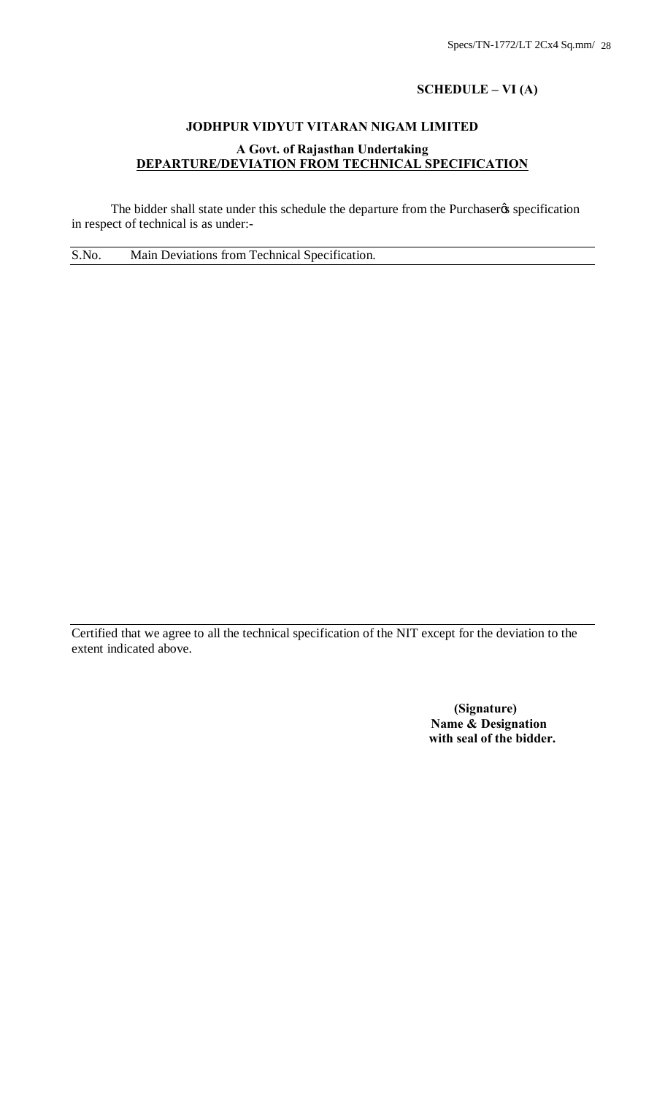# **SCHEDULE – VI (A)**

# **JODHPUR VIDYUT VITARAN NIGAM LIMITED**

# **A Govt. of Rajasthan Undertaking DEPARTURE/DEVIATION FROM TECHNICAL SPECIFICATION**

The bidder shall state under this schedule the departure from the Purchaser & specification in respect of technical is as under:-

S.No. Main Deviations from Technical Specification.

Certified that we agree to all the technical specification of the NIT except for the deviation to the extent indicated above.

> **(Signature) Name & Designation with seal of the bidder.**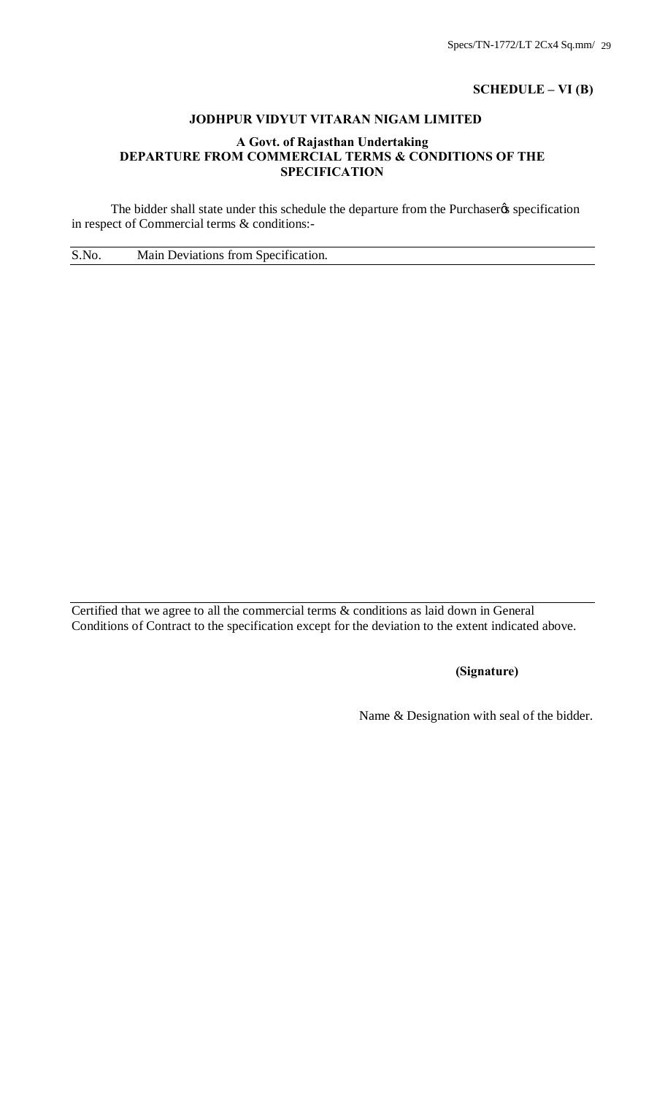# **SCHEDULE – VI (B)**

# **JODHPUR VIDYUT VITARAN NIGAM LIMITED**

# **A Govt. of Rajasthan Undertaking DEPARTURE FROM COMMERCIAL TERMS & CONDITIONS OF THE SPECIFICATION**

The bidder shall state under this schedule the departure from the Purchaser & specification in respect of Commercial terms & conditions:-

S.No. Main Deviations from Specification.

Certified that we agree to all the commercial terms & conditions as laid down in General Conditions of Contract to the specification except for the deviation to the extent indicated above.

# **(Signature)**

Name & Designation with seal of the bidder.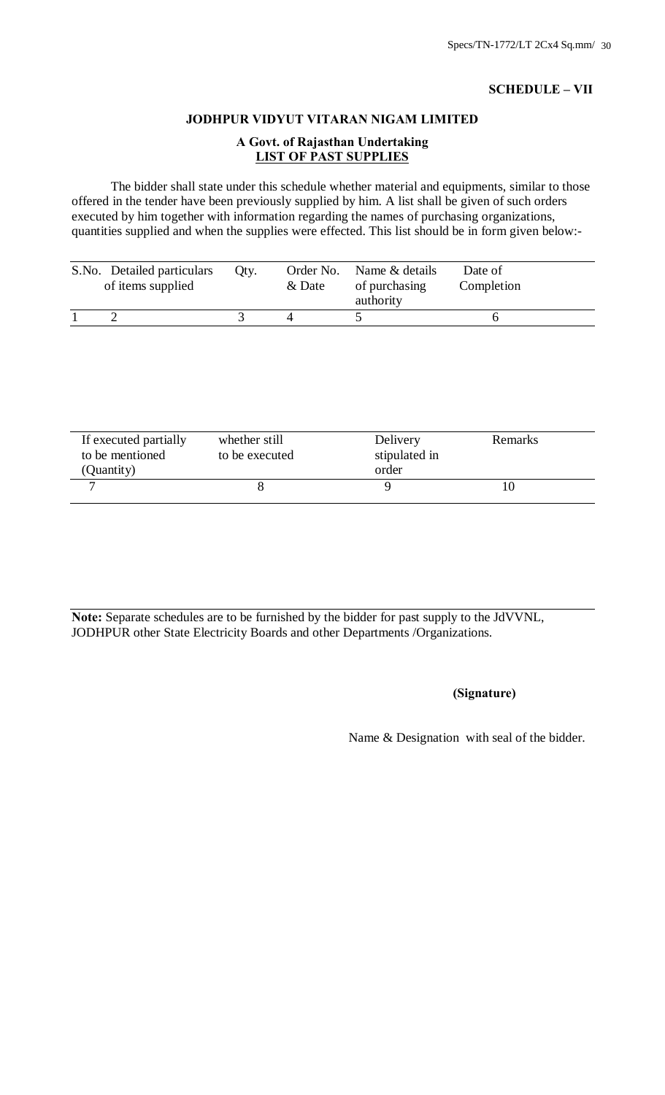# **SCHEDULE – VII**

# **JODHPUR VIDYUT VITARAN NIGAM LIMITED**

# **A Govt. of Rajasthan Undertaking LIST OF PAST SUPPLIES**

The bidder shall state under this schedule whether material and equipments, similar to those offered in the tender have been previously supplied by him. A list shall be given of such orders executed by him together with information regarding the names of purchasing organizations, quantities supplied and when the supplies were effected. This list should be in form given below:-

| S.No. Detailed particulars<br>of items supplied | Oty. | & Date | Order No. Name & details<br>of purchasing<br>authority | Date of<br>Completion |
|-------------------------------------------------|------|--------|--------------------------------------------------------|-----------------------|
|                                                 |      |        |                                                        |                       |

| If executed partially<br>to be mentioned<br>(Quantity) | whether still<br>to be executed | Delivery<br>stipulated in<br>order | Remarks |  |
|--------------------------------------------------------|---------------------------------|------------------------------------|---------|--|
|                                                        |                                 |                                    |         |  |

**Note:** Separate schedules are to be furnished by the bidder for past supply to the JdVVNL, JODHPUR other State Electricity Boards and other Departments /Organizations.

# **(Signature)**

Name & Designation with seal of the bidder.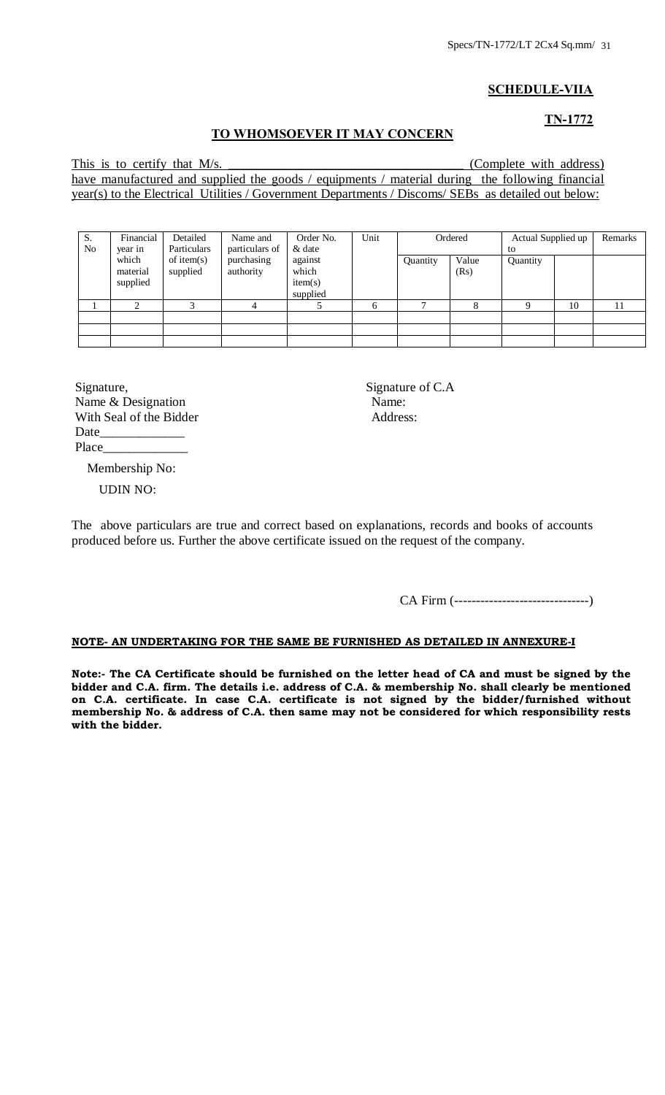# **SCHEDULE-VIIA**

# **TN-1772**

#### **TO WHOMSOEVER IT MAY CONCERN**

This is to certify that M/s. \_\_\_\_\_\_\_\_\_\_\_\_\_\_\_\_\_\_\_\_\_\_\_\_\_\_\_\_\_\_\_\_\_\_\_\_ (Complete with address) have manufactured and supplied the goods / equipments / material during the following financial year(s) to the Electrical Utilities / Government Departments / Discoms/ SEBs as detailed out below:

| S.<br>N <sub>0</sub> | Financial<br>year in          | Detailed<br>Particulars   | Name and<br>particulars of | Order No.<br>& date                     | Unit |          | Ordered       | Actual Supplied up<br>to |    | Remarks |
|----------------------|-------------------------------|---------------------------|----------------------------|-----------------------------------------|------|----------|---------------|--------------------------|----|---------|
|                      | which<br>material<br>supplied | of item $(s)$<br>supplied | purchasing<br>authority    | against<br>which<br>item(s)<br>supplied |      | Quantity | Value<br>(Rs) | Quantity                 |    |         |
|                      | ◠                             |                           |                            |                                         | 6    |          |               |                          | 10 | 11      |
|                      |                               |                           |                            |                                         |      |          |               |                          |    |         |
|                      |                               |                           |                            |                                         |      |          |               |                          |    |         |

Signature, Signature of C.A Name & Designation Name: With Seal of the Bidder Address:  $Date$ Place\_\_\_\_\_\_\_\_\_\_\_\_\_

Membership No:

UDIN NO:

The above particulars are true and correct based on explanations, records and books of accounts produced before us. Further the above certificate issued on the request of the company.

CA Firm (-------------------------------)

#### **NOTE- AN UNDERTAKING FOR THE SAME BE FURNISHED AS DETAILED IN ANNEXURE-I**

**Note:- The CA Certificate should be furnished on the letter head of CA and must be signed by the bidder and C.A. firm. The details i.e. address of C.A. & membership No. shall clearly be mentioned on C.A. certificate. In case C.A. certificate is not signed by the bidder/furnished without membership No. & address of C.A. then same may not be considered for which responsibility rests with the bidder.**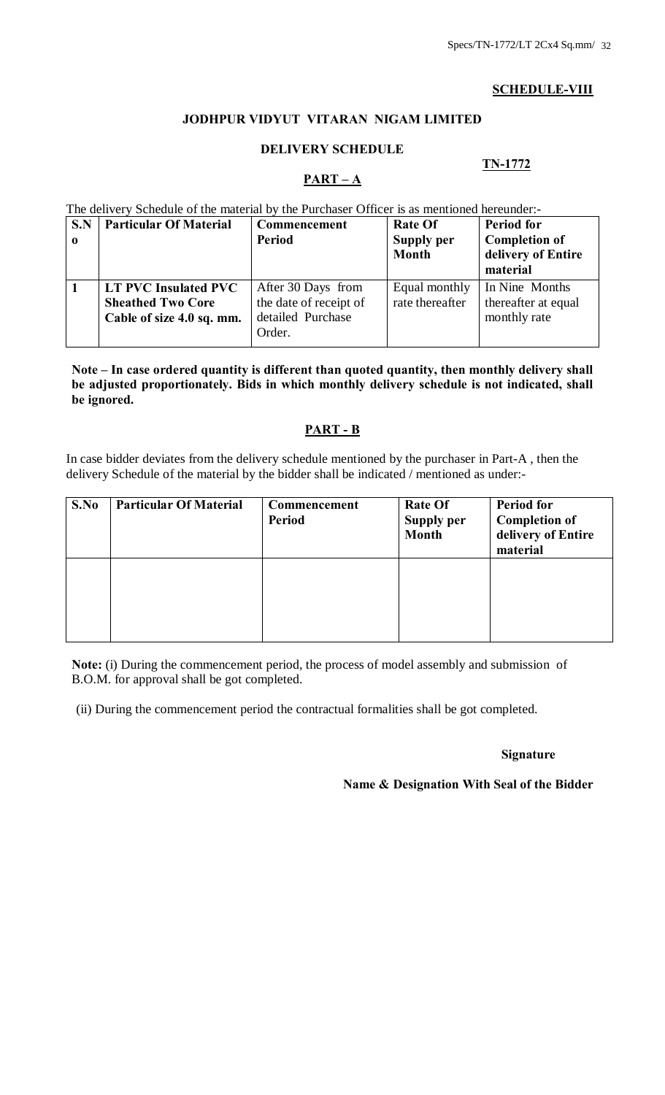# **SCHEDULE-VIII**

# **JODHPUR VIDYUT VITARAN NIGAM LIMITED**

# **DELIVERY SCHEDULE**

# **TN-1772**

# $\overline{PART - A}$

The delivery Schedule of the material by the Purchaser Officer is as mentioned hereunder:-

| S.N<br>$\mathbf 0$ | <b>Particular Of Material</b> | Commencement<br><b>Period</b> | <b>Rate Of</b><br><b>Supply per</b><br><b>Month</b> | <b>Period for</b><br><b>Completion of</b><br>delivery of Entire<br>material |  |  |
|--------------------|-------------------------------|-------------------------------|-----------------------------------------------------|-----------------------------------------------------------------------------|--|--|
|                    | <b>LT PVC Insulated PVC</b>   | After 30 Days from            | Equal monthly                                       | In Nine Months                                                              |  |  |
|                    | <b>Sheathed Two Core</b>      | the date of receipt of        | rate thereafter                                     | thereafter at equal                                                         |  |  |
|                    | Cable of size 4.0 sq. mm.     | detailed Purchase             |                                                     | monthly rate                                                                |  |  |
|                    |                               | Order.                        |                                                     |                                                                             |  |  |

**Note – In case ordered quantity is different than quoted quantity, then monthly delivery shall be adjusted proportionately. Bids in which monthly delivery schedule is not indicated, shall be ignored.**

# **PART - B**

In case bidder deviates from the delivery schedule mentioned by the purchaser in Part-A , then the delivery Schedule of the material by the bidder shall be indicated / mentioned as under:-

| S.No | <b>Particular Of Material</b> | Commencement<br><b>Period</b> | <b>Rate Of</b><br>Supply per<br><b>Month</b> | <b>Period for</b><br><b>Completion of</b><br>delivery of Entire<br>material |
|------|-------------------------------|-------------------------------|----------------------------------------------|-----------------------------------------------------------------------------|
|      |                               |                               |                                              |                                                                             |

**Note:** (i) During the commencement period, the process of model assembly and submission of B.O.M. for approval shall be got completed.

(ii) During the commencement period the contractual formalities shall be got completed.

#### **Signature**

**Name & Designation With Seal of the Bidder**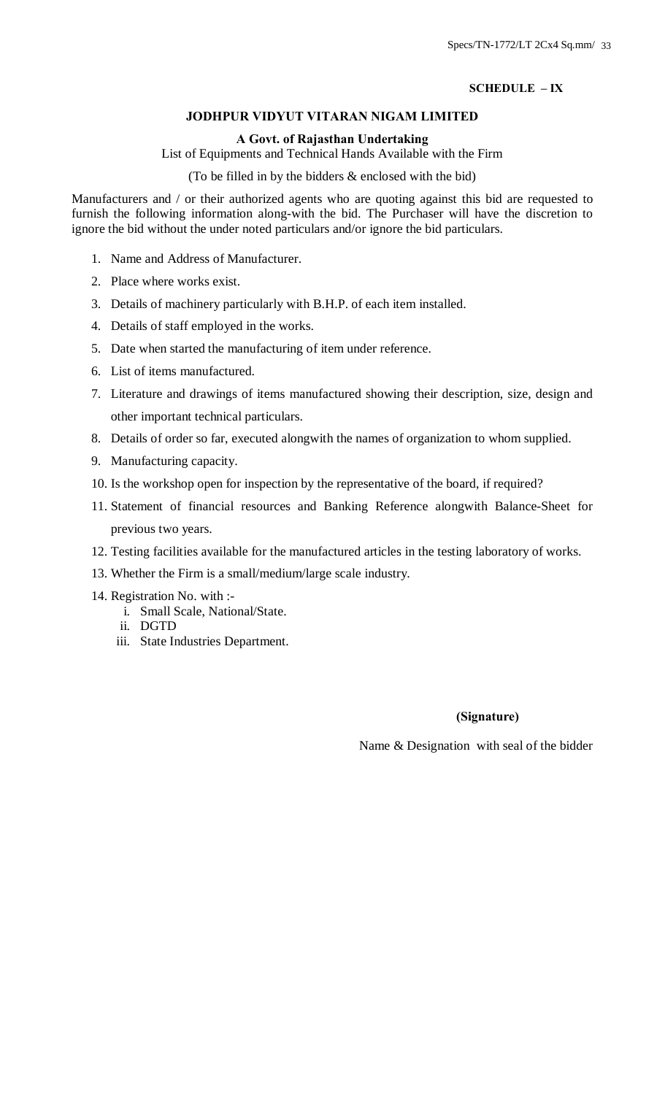# **SCHEDULE – IX**

# **JODHPUR VIDYUT VITARAN NIGAM LIMITED**

# **A Govt. of Rajasthan Undertaking**

List of Equipments and Technical Hands Available with the Firm

(To be filled in by the bidders & enclosed with the bid)

Manufacturers and / or their authorized agents who are quoting against this bid are requested to furnish the following information along-with the bid. The Purchaser will have the discretion to ignore the bid without the under noted particulars and/or ignore the bid particulars.

- 1. Name and Address of Manufacturer.
- 2. Place where works exist.
- 3. Details of machinery particularly with B.H.P. of each item installed.
- 4. Details of staff employed in the works.
- 5. Date when started the manufacturing of item under reference.
- 6. List of items manufactured.
- 7. Literature and drawings of items manufactured showing their description, size, design and other important technical particulars.
- 8. Details of order so far, executed alongwith the names of organization to whom supplied.
- 9. Manufacturing capacity.
- 10. Is the workshop open for inspection by the representative of the board, if required?
- 11. Statement of financial resources and Banking Reference alongwith Balance-Sheet for previous two years.
- 12. Testing facilities available for the manufactured articles in the testing laboratory of works.
- 13. Whether the Firm is a small/medium/large scale industry.
- 14. Registration No. with :
	- i. Small Scale, National/State.
	- ii. DGTD
	- iii. State Industries Department.

# **(Signature)**

Name & Designation with seal of the bidder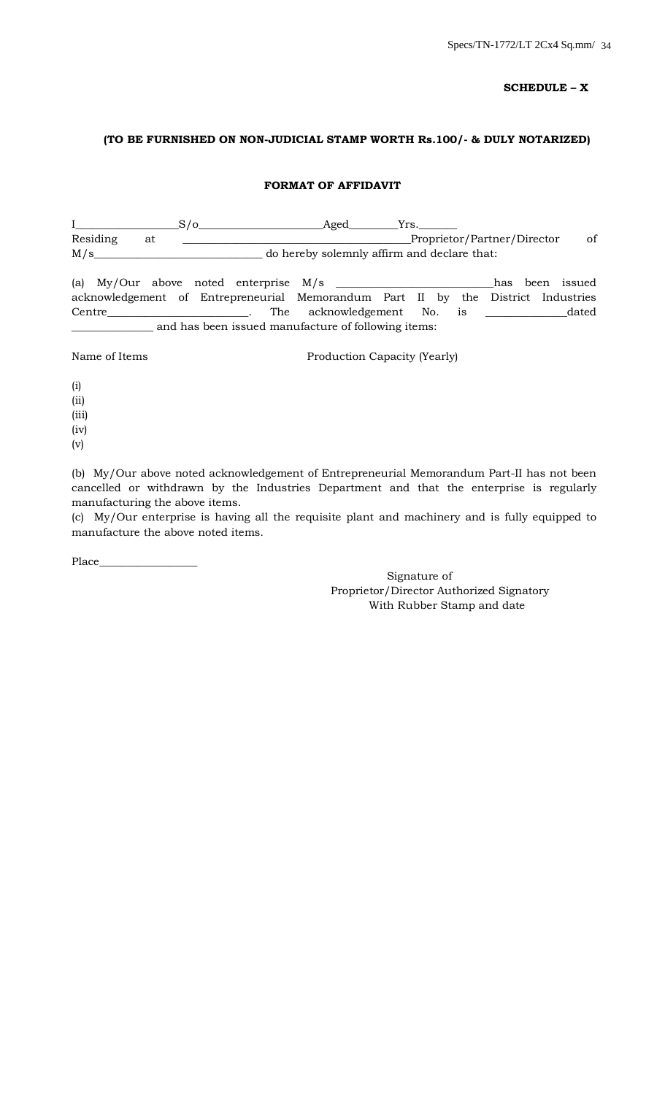#### **SCHEDULE – X**

## **(TO BE FURNISHED ON NON-JUDICIAL STAMP WORTH Rs.100/- & DULY NOTARIZED)**

#### **FORMAT OF AFFIDAVIT**

|                                                                                  |    | $S/\sigma$ Aged                                     |                                             | Yrs. |  |                             |             |
|----------------------------------------------------------------------------------|----|-----------------------------------------------------|---------------------------------------------|------|--|-----------------------------|-------------|
| Residing                                                                         | at |                                                     |                                             |      |  | Proprietor/Partner/Director | of          |
| M/s                                                                              |    |                                                     | do hereby solemnly affirm and declare that: |      |  |                             |             |
|                                                                                  |    |                                                     |                                             |      |  | has                         | been issued |
| acknowledgement of Entrepreneurial Memorandum Part II by the District Industries |    |                                                     |                                             |      |  |                             |             |
| Centre dated The acknowledgement No. is dated                                    |    |                                                     |                                             |      |  |                             |             |
|                                                                                  |    | and has been issued manufacture of following items: |                                             |      |  |                             |             |
| Name of Items                                                                    |    |                                                     | Production Capacity (Yearly)                |      |  |                             |             |

(i)

(ii)

(iii)

(iv)

(v)

(b) My/Our above noted acknowledgement of Entrepreneurial Memorandum Part-II has not been cancelled or withdrawn by the Industries Department and that the enterprise is regularly manufacturing the above items.

(c) My/Our enterprise is having all the requisite plant and machinery and is fully equipped to manufacture the above noted items.

Place\_\_\_\_\_\_\_\_\_\_\_\_\_\_\_\_\_\_

Signature of Proprietor/Director Authorized Signatory With Rubber Stamp and date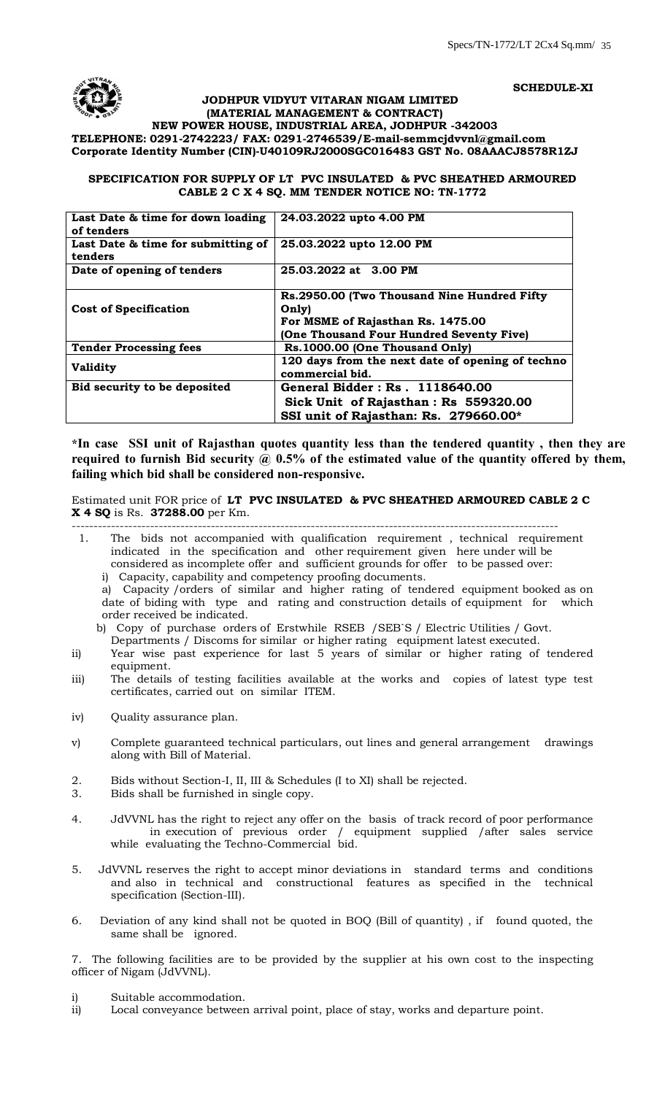**SCHEDULE-XI**



# **JODHPUR VIDYUT VITARAN NIGAM LIMITED (MATERIAL MANAGEMENT & CONTRACT)**

**NEW POWER HOUSE, INDUSTRIAL AREA, JODHPUR -342003 TELEPHONE: 0291-2742223/ FAX: 0291-2746539/E-mail-[semmcjdvvnl@gmail.com](mailto:semmcjdvvnl@gmail.com) Corporate Identity Number (CIN)-U40109RJ2000SGC016483 GST No. 08AAACJ8578R1ZJ**

#### **SPECIFICATION FOR SUPPLY OF LT PVC INSULATED & PVC SHEATHED ARMOURED CABLE 2 C X 4 SQ. MM TENDER NOTICE NO: TN-1772**

| Last Date & time for down loading<br>of tenders | 24.03.2022 upto 4.00 PM                                                                                                               |
|-------------------------------------------------|---------------------------------------------------------------------------------------------------------------------------------------|
| Last Date & time for submitting of<br>tenders   | 25.03.2022 upto 12.00 PM                                                                                                              |
| Date of opening of tenders                      | 25.03.2022 at 3.00 PM                                                                                                                 |
| <b>Cost of Specification</b>                    | Rs.2950.00 (Two Thousand Nine Hundred Fifty<br>Only)<br>For MSME of Rajasthan Rs. 1475.00<br>(One Thousand Four Hundred Seventy Five) |
| <b>Tender Processing fees</b>                   | Rs.1000.00 (One Thousand Only)                                                                                                        |
| <b>Validity</b>                                 | 120 days from the next date of opening of techno<br>commercial bid.                                                                   |
| Bid security to be deposited                    | General Bidder: Rs. 1118640.00<br>Sick Unit of Rajasthan: Rs 559320.00<br>SSI unit of Rajasthan: Rs. 279660.00*                       |

**\*In case SSI unit of Rajasthan quotes quantity less than the tendered quantity , then they are**  required to furnish Bid security @ 0.5% of the estimated value of the quantity offered by them, **failing which bid shall be considered non-responsive.**

#### Estimated unit FOR price of **LT PVC INSULATED & PVC SHEATHED ARMOURED CABLE 2 C X 4 SQ** is Rs. **37288.00** per Km.

- ----------------------------------------------------------------------------------------------------------------
- 1. The bids not accompanied with qualification requirement , technical requirement indicated in the specification and other requirement given here under will be considered as incomplete offer and sufficient grounds for offer to be passed over:
	- i) Capacity, capability and competency proofing documents.

a) Capacity /orders of similar and higher rating of tendered equipment booked as on date of biding with type and rating and construction details of equipment for which order received be indicated.

- b) Copy of purchase orders of Erstwhile RSEB /SEB`S / Electric Utilities / Govt.
- Departments / Discoms for similar or higher rating equipment latest executed.
- ii) Year wise past experience for last 5 years of similar or higher rating of tendered equipment.
- iii) The details of testing facilities available at the works and copies of latest type test certificates, carried out on similar ITEM.
- iv) Ouality assurance plan.
- v) Complete guaranteed technical particulars, out lines and general arrangement drawings along with Bill of Material.
- 2. Bids without Section-I, II, III & Schedules (I to XI) shall be rejected.
- 3. Bids shall be furnished in single copy.
- 4. JdVVNL has the right to reject any offer on the basis of track record of poor performance in execution of previous order / equipment supplied /after sales service while evaluating the Techno-Commercial bid.
- 5. JdVVNL reserves the right to accept minor deviations in standard terms and conditions and also in technical and constructional features as specified in the technical specification (Section-III).
- 6. Deviation of any kind shall not be quoted in BOQ (Bill of quantity) , if found quoted, the same shall be ignored.

7. The following facilities are to be provided by the supplier at his own cost to the inspecting officer of Nigam (JdVVNL).

- i) Suitable accommodation.
- ii) Local conveyance between arrival point, place of stay, works and departure point.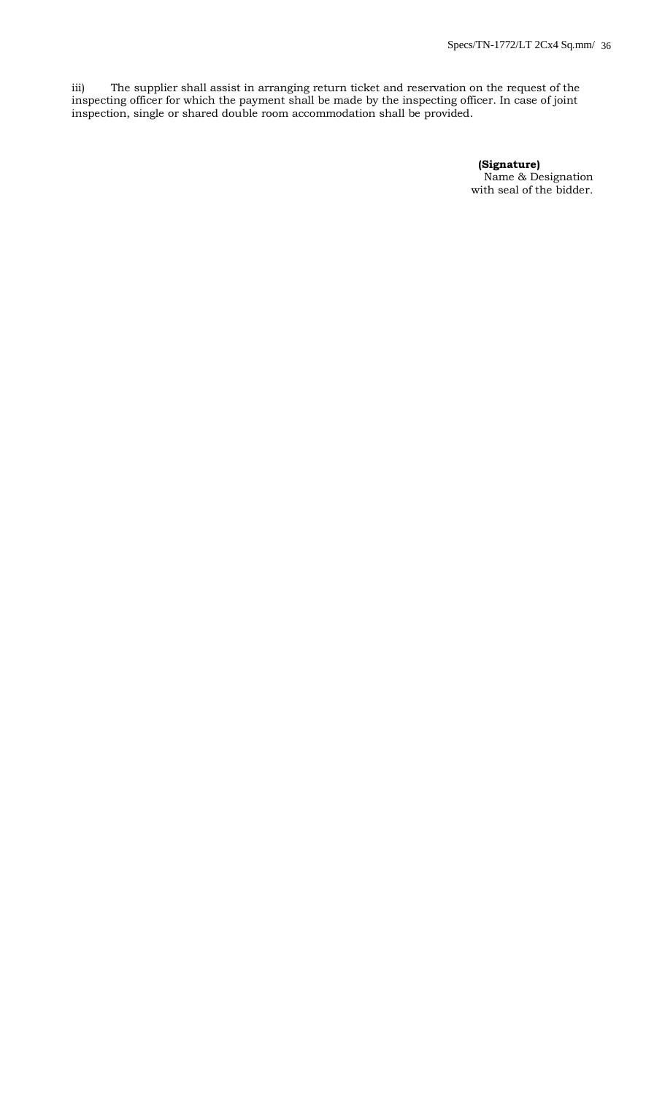iii) The supplier shall assist in arranging return ticket and reservation on the request of the inspecting officer for which the payment shall be made by the inspecting officer. In case of joint inspection, single or shared double room accommodation shall be provided.

> **(Signature)** Name & Designation with seal of the bidder.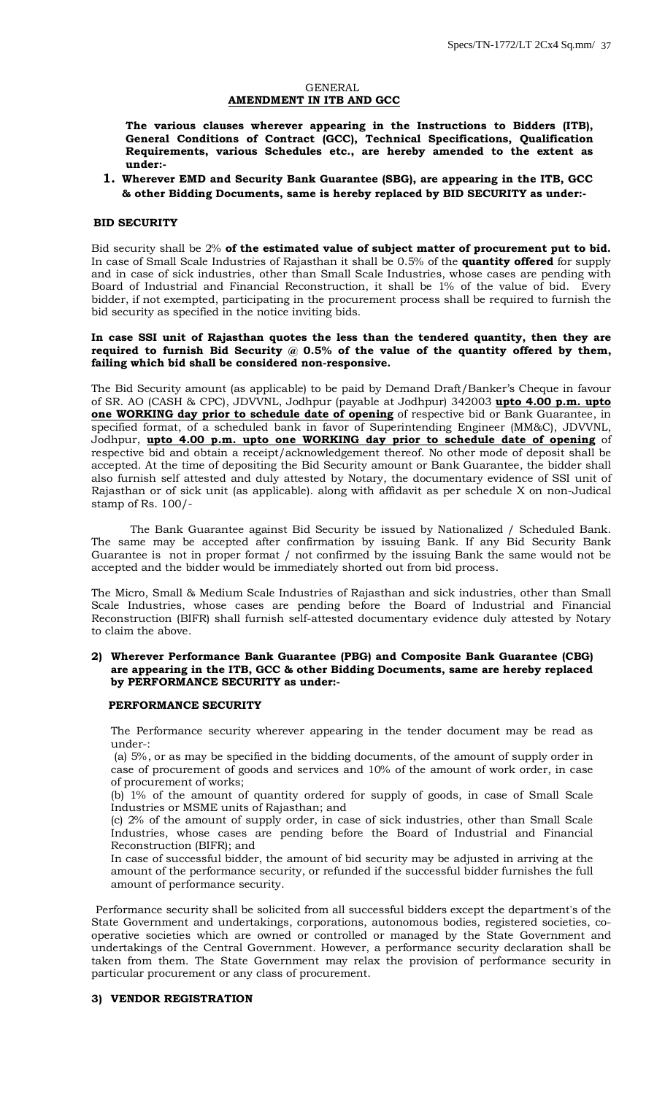#### GENERAL **AMENDMENT IN ITB AND GCC**

**The various clauses wherever appearing in the Instructions to Bidders (ITB), General Conditions of Contract (GCC), Technical Specifications, Qualification Requirements, various Schedules etc., are hereby amended to the extent as under:-**

#### **1. Wherever EMD and Security Bank Guarantee (SBG), are appearing in the ITB, GCC & other Bidding Documents, same is hereby replaced by BID SECURITY as under:-**

#### **BID SECURITY**

Bid security shall be 2% **of the estimated value of subject matter of procurement put to bid.** In case of Small Scale Industries of Rajasthan it shall be 0.5% of the **quantity offered** for supply and in case of sick industries, other than Small Scale Industries, whose cases are pending with Board of Industrial and Financial Reconstruction, it shall be 1% of the value of bid. Every bidder, if not exempted, participating in the procurement process shall be required to furnish the bid security as specified in the notice inviting bids.

#### **In case SSI unit of Rajasthan quotes the less than the tendered quantity, then they are**  required to furnish Bid Security @ 0.5% of the value of the quantity offered by them, **failing which bid shall be considered non-responsive.**

The Bid Security amount (as applicable) to be paid by Demand Draft/Banker's Cheque in favour of SR. AO (CASH & CPC), JDVVNL, Jodhpur (payable at Jodhpur) 342003 **upto 4.00 p.m. upto one WORKING day prior to schedule date of opening** of respective bid or Bank Guarantee, in specified format, of a scheduled bank in favor of Superintending Engineer (MM&C), JDVVNL, Jodhpur, **upto 4.00 p.m. upto one WORKING day prior to schedule date of opening** of respective bid and obtain a receipt/acknowledgement thereof. No other mode of deposit shall be accepted. At the time of depositing the Bid Security amount or Bank Guarantee, the bidder shall also furnish self attested and duly attested by Notary, the documentary evidence of SSI unit of Rajasthan or of sick unit (as applicable). along with affidavit as per schedule X on non-Judical stamp of Rs. 100/-

The Bank Guarantee against Bid Security be issued by Nationalized / Scheduled Bank. The same may be accepted after confirmation by issuing Bank. If any Bid Security Bank Guarantee is not in proper format / not confirmed by the issuing Bank the same would not be accepted and the bidder would be immediately shorted out from bid process.

The Micro, Small & Medium Scale Industries of Rajasthan and sick industries, other than Small Scale Industries, whose cases are pending before the Board of Industrial and Financial Reconstruction (BIFR) shall furnish self-attested documentary evidence duly attested by Notary to claim the above.

#### **2) Wherever Performance Bank Guarantee (PBG) and Composite Bank Guarantee (CBG) are appearing in the ITB, GCC & other Bidding Documents, same are hereby replaced by PERFORMANCE SECURITY as under:-**

#### **PERFORMANCE SECURITY**

The Performance security wherever appearing in the tender document may be read as under-:

(a) 5%, or as may be specified in the bidding documents, of the amount of supply order in case of procurement of goods and services and 10% of the amount of work order, in case of procurement of works;

(b) 1% of the amount of quantity ordered for supply of goods, in case of Small Scale Industries or MSME units of Rajasthan; and

(c) 2% of the amount of supply order, in case of sick industries, other than Small Scale Industries, whose cases are pending before the Board of Industrial and Financial Reconstruction (BIFR); and

In case of successful bidder, the amount of bid security may be adjusted in arriving at the amount of the performance security, or refunded if the successful bidder furnishes the full amount of performance security.

 Performance security shall be solicited from all successful bidders except the department's of the State Government and undertakings, corporations, autonomous bodies, registered societies, cooperative societies which are owned or controlled or managed by the State Government and undertakings of the Central Government. However, a performance security declaration shall be taken from them. The State Government may relax the provision of performance security in particular procurement or any class of procurement.

#### **3) VENDOR REGISTRATION**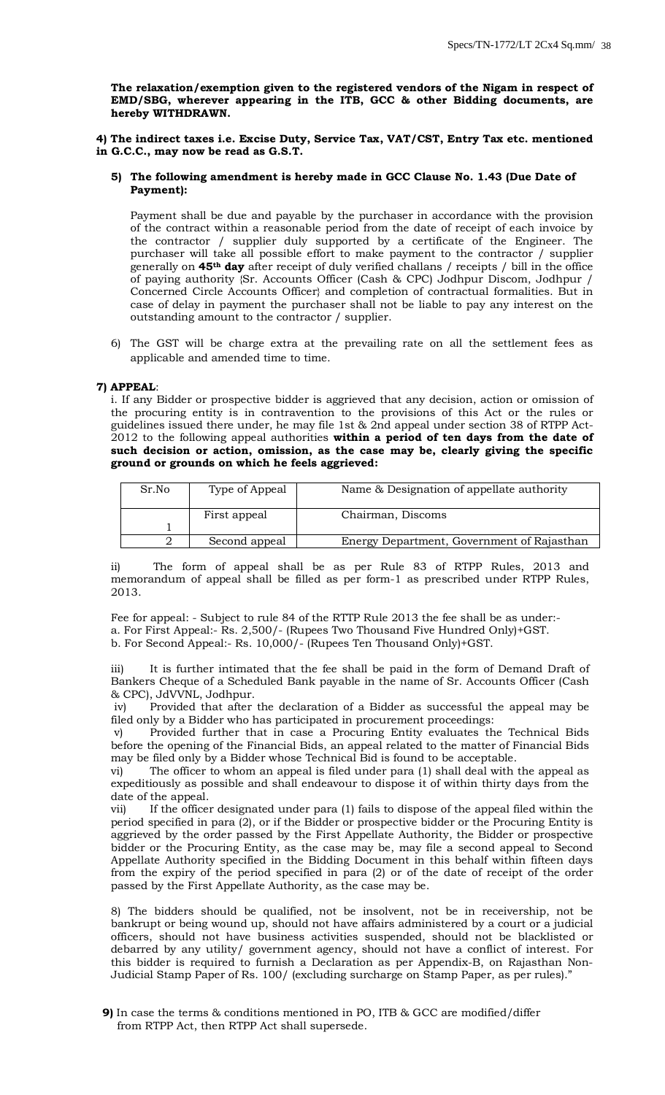**The relaxation/exemption given to the registered vendors of the Nigam in respect of EMD/SBG, wherever appearing in the ITB, GCC & other Bidding documents, are hereby WITHDRAWN.** 

**4) The indirect taxes i.e. Excise Duty, Service Tax, VAT/CST, Entry Tax etc. mentioned in G.C.C., may now be read as G.S.T.** 

#### **5) The following amendment is hereby made in GCC Clause No. 1.43 (Due Date of Payment):**

Payment shall be due and payable by the purchaser in accordance with the provision of the contract within a reasonable period from the date of receipt of each invoice by the contractor / supplier duly supported by a certificate of the Engineer. The purchaser will take all possible effort to make payment to the contractor / supplier generally on **45th day** after receipt of duly verified challans / receipts / bill in the office of paying authority {Sr. Accounts Officer (Cash & CPC) Jodhpur Discom, Jodhpur / Concerned Circle Accounts Officer} and completion of contractual formalities. But in case of delay in payment the purchaser shall not be liable to pay any interest on the outstanding amount to the contractor / supplier.

6) The GST will be charge extra at the prevailing rate on all the settlement fees as applicable and amended time to time.

#### **7) APPEAL**:

i. If any Bidder or prospective bidder is aggrieved that any decision, action or omission of the procuring entity is in contravention to the provisions of this Act or the rules or guidelines issued there under, he may file 1st & 2nd appeal under section 38 of RTPP Act-2012 to the following appeal authorities **within a period of ten days from the date of such decision or action, omission, as the case may be, clearly giving the specific ground or grounds on which he feels aggrieved:** 

| Sr.No | Type of Appeal | Name & Designation of appellate authority  |
|-------|----------------|--------------------------------------------|
|       | First appeal   | Chairman, Discoms                          |
|       |                |                                            |
|       | Second appeal  | Energy Department, Government of Rajasthan |

ii) The form of appeal shall be as per Rule 83 of RTPP Rules, 2013 and memorandum of appeal shall be filled as per form-1 as prescribed under RTPP Rules, 2013.

Fee for appeal: - Subject to rule 84 of the RTTP Rule 2013 the fee shall be as under: a. For First Appeal:- Rs. 2,500/- (Rupees Two Thousand Five Hundred Only)+GST. b. For Second Appeal:- Rs. 10,000/- (Rupees Ten Thousand Only)+GST.

iii) It is further intimated that the fee shall be paid in the form of Demand Draft of Bankers Cheque of a Scheduled Bank payable in the name of Sr. Accounts Officer (Cash & CPC), JdVVNL, Jodhpur.

iv) Provided that after the declaration of a Bidder as successful the appeal may be filed only by a Bidder who has participated in procurement proceedings:

v) Provided further that in case a Procuring Entity evaluates the Technical Bids before the opening of the Financial Bids, an appeal related to the matter of Financial Bids may be filed only by a Bidder whose Technical Bid is found to be acceptable.

vi) The officer to whom an appeal is filed under para (1) shall deal with the appeal as expeditiously as possible and shall endeavour to dispose it of within thirty days from the date of the appeal.

vii) If the officer designated under para (1) fails to dispose of the appeal filed within the period specified in para (2), or if the Bidder or prospective bidder or the Procuring Entity is aggrieved by the order passed by the First Appellate Authority, the Bidder or prospective bidder or the Procuring Entity, as the case may be, may file a second appeal to Second Appellate Authority specified in the Bidding Document in this behalf within fifteen days from the expiry of the period specified in para (2) or of the date of receipt of the order passed by the First Appellate Authority, as the case may be.

8) The bidders should be qualified, not be insolvent, not be in receivership, not be bankrupt or being wound up, should not have affairs administered by a court or a judicial officers, should not have business activities suspended, should not be blacklisted or debarred by any utility/ government agency, should not have a conflict of interest. For this bidder is required to furnish a Declaration as per Appendix-B, on Rajasthan Non-Judicial Stamp Paper of Rs. 100/ (excluding surcharge on Stamp Paper, as per rules)."

**<sup>9)</sup>** In case the terms & conditions mentioned in PO, ITB & GCC are modified/differ from RTPP Act, then RTPP Act shall supersede.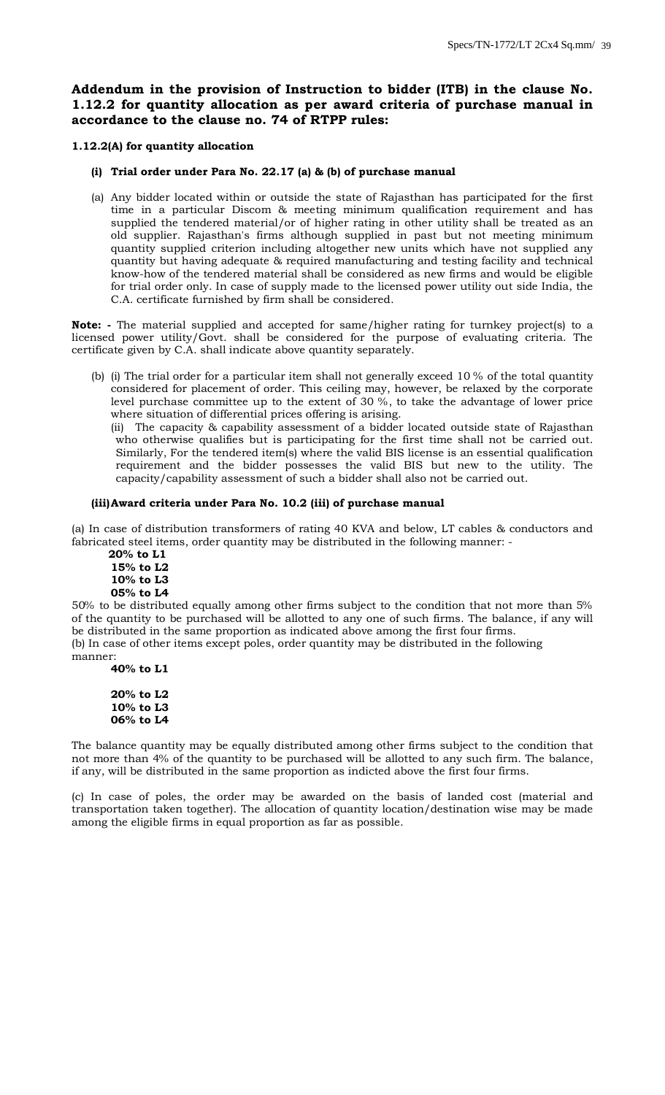# **Addendum in the provision of Instruction to bidder (ITB) in the clause No. 1.12.2 for quantity allocation as per award criteria of purchase manual in accordance to the clause no. 74 of RTPP rules:**

#### **1.12.2(A) for quantity allocation**

#### **(i) Trial order under Para No. 22.17 (a) & (b) of purchase manual**

(a) Any bidder located within or outside the state of Rajasthan has participated for the first time in a particular Discom & meeting minimum qualification requirement and has supplied the tendered material/or of higher rating in other utility shall be treated as an old supplier. Rajasthan's firms although supplied in past but not meeting minimum quantity supplied criterion including altogether new units which have not supplied any quantity but having adequate & required manufacturing and testing facility and technical know-how of the tendered material shall be considered as new firms and would be eligible for trial order only. In case of supply made to the licensed power utility out side India, the C.A. certificate furnished by firm shall be considered.

**Note: -** The material supplied and accepted for same/higher rating for turnkey project(s) to a licensed power utility/Govt. shall be considered for the purpose of evaluating criteria. The certificate given by C.A. shall indicate above quantity separately.

(b) (i) The trial order for a particular item shall not generally exceed 10 % of the total quantity considered for placement of order. This ceiling may, however, be relaxed by the corporate level purchase committee up to the extent of 30 %, to take the advantage of lower price where situation of differential prices offering is arising.

(ii) The capacity & capability assessment of a bidder located outside state of Rajasthan who otherwise qualifies but is participating for the first time shall not be carried out. Similarly, For the tendered item(s) where the valid BIS license is an essential qualification requirement and the bidder possesses the valid BIS but new to the utility. The capacity/capability assessment of such a bidder shall also not be carried out.

#### **(iii)Award criteria under Para No. 10.2 (iii) of purchase manual**

(a) In case of distribution transformers of rating 40 KVA and below, LT cables & conductors and fabricated steel items, order quantity may be distributed in the following manner: -

 **20% to L1 15% to L2 10% to L3 05% to L4**

50% to be distributed equally among other firms subject to the condition that not more than 5% of the quantity to be purchased will be allotted to any one of such firms. The balance, if any will be distributed in the same proportion as indicated above among the first four firms. (b) In case of other items except poles, order quantity may be distributed in the following manner:

**40% to L1**

**20% to L2 10% to L3 06% to L4**

The balance quantity may be equally distributed among other firms subject to the condition that not more than 4% of the quantity to be purchased will be allotted to any such firm. The balance, if any, will be distributed in the same proportion as indicted above the first four firms.

(c) In case of poles, the order may be awarded on the basis of landed cost (material and transportation taken together). The allocation of quantity location/destination wise may be made among the eligible firms in equal proportion as far as possible.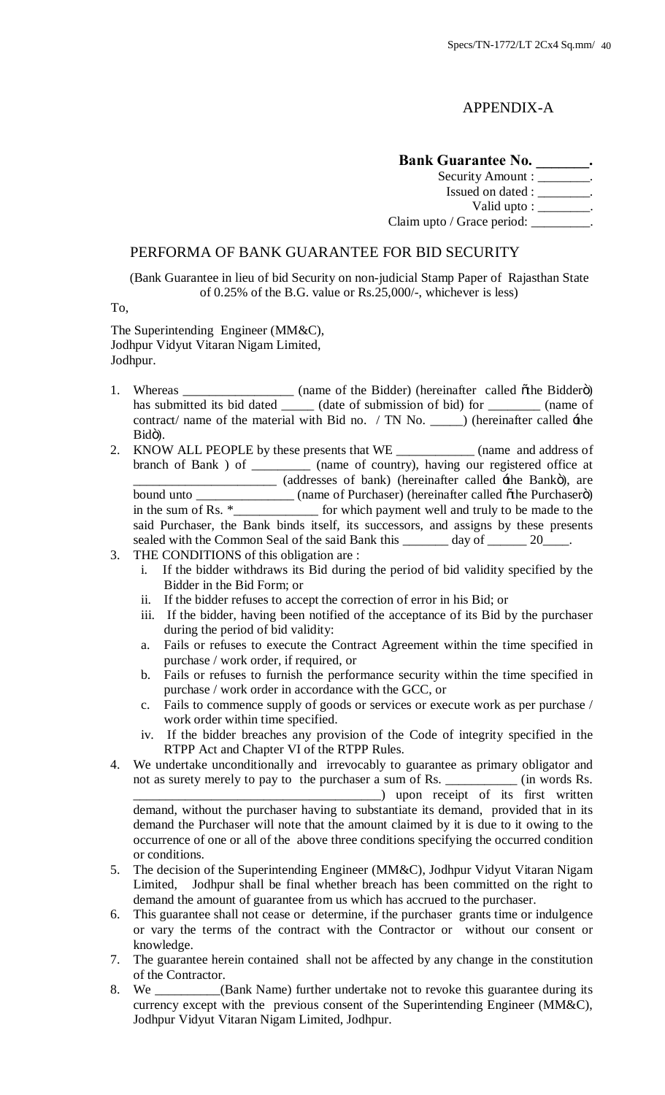# APPENDIX-A

# Bank Guarantee No. \_\_\_\_\_\_\_.

Security Amount : \_\_\_\_\_\_\_. Issued on dated : \_\_\_\_\_\_\_\_. Valid upto : \_\_\_\_\_\_\_\_. Claim upto / Grace period: \_\_\_\_\_\_\_\_\_.

# PERFORMA OF BANK GUARANTEE FOR BID SECURITY

(Bank Guarantee in lieu of bid Security on non-judicial Stamp Paper of Rajasthan State of 0.25% of the B.G. value or Rs.25,000/-, whichever is less)

To,

The Superintending Engineer (MM&C), Jodhpur Vidyut Vitaran Nigam Limited, Jodhpur.

- 1. Whereas \_\_\_\_\_\_\_\_\_\_\_\_\_\_\_\_\_\_ (name of the Bidder) (hereinafter called  $\tilde{o}$ the Bidder $\tilde{o}$ ) has submitted its bid dated \_\_\_\_\_\_ (date of submission of bid) for \_\_\_\_\_\_\_\_ (name of contract/ name of the material with Bid no. / TN No. \_\_\_\_\_\_ (hereinafter called  $\pm$ he Bidö).
- 2. KNOW ALL PEOPLE by these presents that WE \_\_\_\_\_\_\_\_\_\_\_\_ (name and address of branch of Bank ) of \_\_\_\_\_\_\_\_\_\_ (name of country), having our registered office at (addresses of bank) (hereinafter called  $\pm$ he Bankö), are bound unto \_\_\_\_\_\_\_\_\_\_\_\_\_\_\_\_\_\_\_ (name of Purchaser) (hereinafter called  $\ddot{o}$ the Purchaser $\ddot{o}$ ) in the sum of Rs.  $*$ \_\_\_\_\_\_\_\_\_\_\_\_\_\_\_\_\_ for which payment well and truly to be made to the said Purchaser, the Bank binds itself, its successors, and assigns by these presents sealed with the Common Seal of the said Bank this day of 20
- 3. THE CONDITIONS of this obligation are :
	- i. If the bidder withdraws its Bid during the period of bid validity specified by the Bidder in the Bid Form; or
	- ii. If the bidder refuses to accept the correction of error in his Bid; or
	- iii. If the bidder, having been notified of the acceptance of its Bid by the purchaser during the period of bid validity:
	- a. Fails or refuses to execute the Contract Agreement within the time specified in purchase / work order, if required, or
	- b. Fails or refuses to furnish the performance security within the time specified in purchase / work order in accordance with the GCC, or
	- c. Fails to commence supply of goods or services or execute work as per purchase / work order within time specified.
	- iv. If the bidder breaches any provision of the Code of integrity specified in the RTPP Act and Chapter VI of the RTPP Rules.
- 4. We undertake unconditionally and irrevocably to guarantee as primary obligator and not as surety merely to pay to the purchaser a sum of Rs. \_\_\_\_\_\_\_\_\_\_\_ (in words Rs. \_\_\_\_\_\_\_\_\_\_\_\_\_\_\_\_\_\_\_\_\_\_\_\_\_\_\_\_\_\_\_\_\_\_\_\_\_\_) upon receipt of its first written demand, without the purchaser having to substantiate its demand, provided that in its demand the Purchaser will note that the amount claimed by it is due to it owing to the occurrence of one or all of the above three conditions specifying the occurred condition or conditions.
- 5. The decision of the Superintending Engineer (MM&C), Jodhpur Vidyut Vitaran Nigam Limited, Jodhpur shall be final whether breach has been committed on the right to demand the amount of guarantee from us which has accrued to the purchaser.
- 6. This guarantee shall not cease or determine, if the purchaser grants time or indulgence or vary the terms of the contract with the Contractor or without our consent or knowledge.
- 7. The guarantee herein contained shall not be affected by any change in the constitution of the Contractor.
- 8. We \_\_\_\_\_\_\_\_\_\_(Bank Name) further undertake not to revoke this guarantee during its currency except with the previous consent of the Superintending Engineer (MM&C), Jodhpur Vidyut Vitaran Nigam Limited, Jodhpur.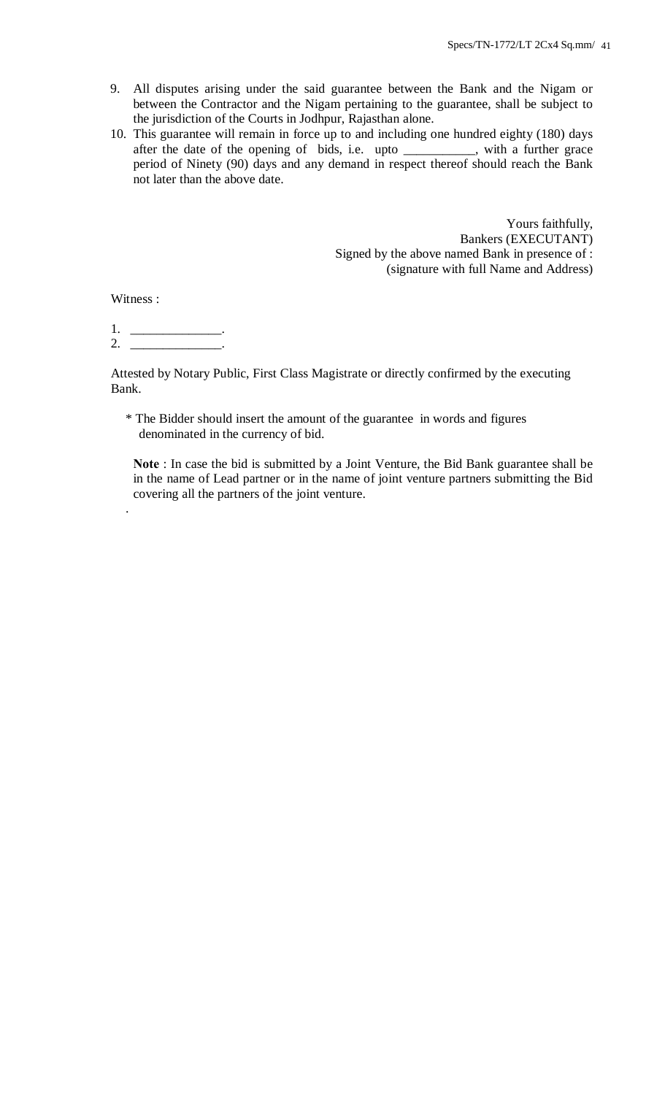- 9. All disputes arising under the said guarantee between the Bank and the Nigam or between the Contractor and the Nigam pertaining to the guarantee, shall be subject to the jurisdiction of the Courts in Jodhpur, Rajasthan alone.
- 10. This guarantee will remain in force up to and including one hundred eighty (180) days after the date of the opening of bids, i.e. upto \_\_\_\_\_\_\_\_\_\_\_, with a further grace period of Ninety (90) days and any demand in respect thereof should reach the Bank not later than the above date.

Yours faithfully, Bankers (EXECUTANT) Signed by the above named Bank in presence of : (signature with full Name and Address)

Witness :

.

1. \_\_\_\_\_\_\_\_\_\_\_\_\_\_. 2.  $\frac{2}{\sqrt{2}}$ 

Attested by Notary Public, First Class Magistrate or directly confirmed by the executing Bank.

\* The Bidder should insert the amount of the guarantee in words and figures denominated in the currency of bid.

**Note** : In case the bid is submitted by a Joint Venture, the Bid Bank guarantee shall be in the name of Lead partner or in the name of joint venture partners submitting the Bid covering all the partners of the joint venture.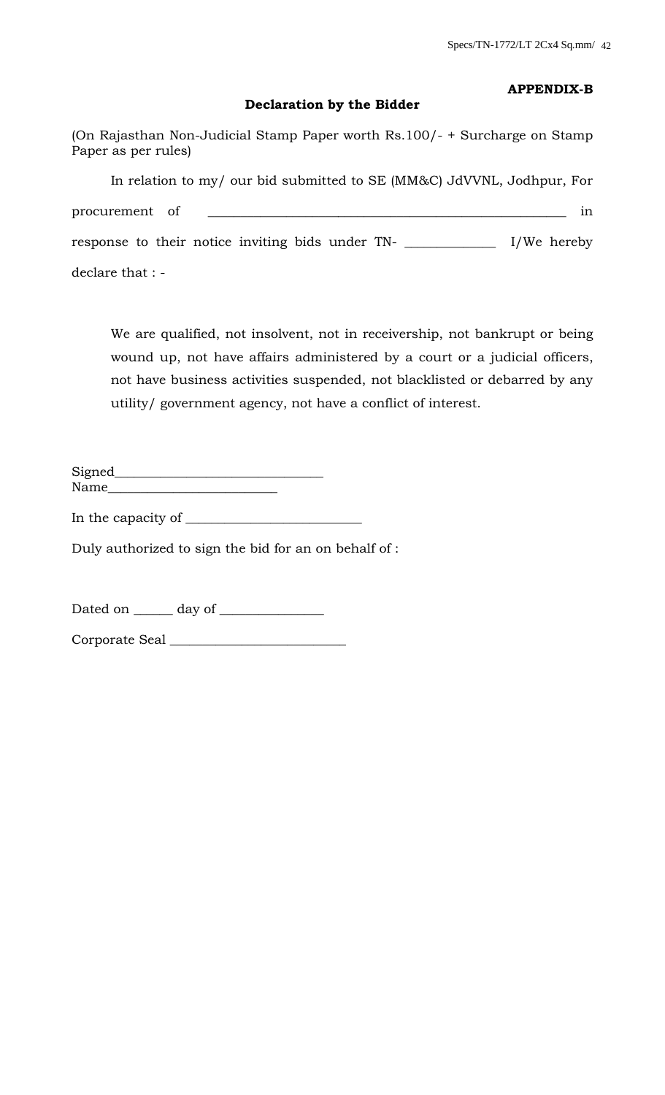# **APPENDIX-B**

# **Declaration by the Bidder**

(On Rajasthan Non-Judicial Stamp Paper worth Rs.100/- + Surcharge on Stamp Paper as per rules) In relation to my/ our bid submitted to SE (MM&C) JdVVNL, Jodhpur, For procurement of \_\_\_\_\_\_\_\_\_\_\_\_\_\_\_\_\_\_\_\_\_\_\_\_\_\_\_\_\_\_\_\_\_\_\_\_\_\_\_\_\_\_\_\_\_\_\_\_\_\_\_\_\_\_\_ in response to their notice inviting bids under TN- \_\_\_\_\_\_\_\_\_\_\_\_\_\_ I/We hereby declare that : -

We are qualified, not insolvent, not in receivership, not bankrupt or being wound up, not have affairs administered by a court or a judicial officers, not have business activities suspended, not blacklisted or debarred by any utility/ government agency, not have a conflict of interest.

Signed\_\_\_\_\_\_\_\_\_\_\_\_\_\_\_\_\_\_\_\_\_\_\_\_\_\_\_\_\_\_\_\_ Name

In the capacity of \_\_\_\_\_\_\_\_\_\_\_\_\_\_\_\_\_\_\_\_\_\_\_\_\_\_\_

Duly authorized to sign the bid for an on behalf of :

Dated on  $\_\_\_\_\$  day of  $\_\_\_\_\_\_\_\_\_\_\_\_\_\_$ 

Corporate Seal \_\_\_\_\_\_\_\_\_\_\_\_\_\_\_\_\_\_\_\_\_\_\_\_\_\_\_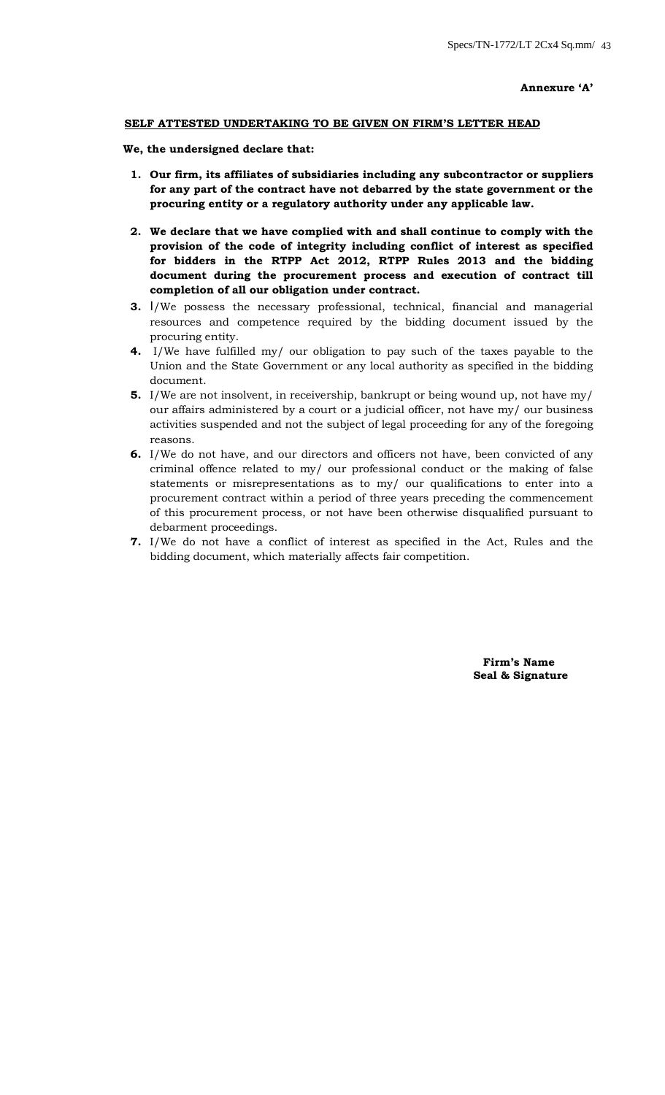#### **SELF ATTESTED UNDERTAKING TO BE GIVEN ON FIRM'S LETTER HEAD**

#### **We, the undersigned declare that:**

- **1. Our firm, its affiliates of subsidiaries including any subcontractor or suppliers for any part of the contract have not debarred by the state government or the procuring entity or a regulatory authority under any applicable law.**
- **2. We declare that we have complied with and shall continue to comply with the provision of the code of integrity including conflict of interest as specified for bidders in the RTPP Act 2012, RTPP Rules 2013 and the bidding document during the procurement process and execution of contract till completion of all our obligation under contract.**
- **3.** I/We possess the necessary professional, technical, financial and managerial resources and competence required by the bidding document issued by the procuring entity.
- **4.** I/We have fulfilled my/ our obligation to pay such of the taxes payable to the Union and the State Government or any local authority as specified in the bidding document.
- **5.** I/We are not insolvent, in receivership, bankrupt or being wound up, not have my/ our affairs administered by a court or a judicial officer, not have my/ our business activities suspended and not the subject of legal proceeding for any of the foregoing reasons.
- **6.** I/We do not have, and our directors and officers not have, been convicted of any criminal offence related to my/ our professional conduct or the making of false statements or misrepresentations as to my/ our qualifications to enter into a procurement contract within a period of three years preceding the commencement of this procurement process, or not have been otherwise disqualified pursuant to debarment proceedings.
- **7.** I/We do not have a conflict of interest as specified in the Act, Rules and the bidding document, which materially affects fair competition.

 **Firm's Name Seal & Signature**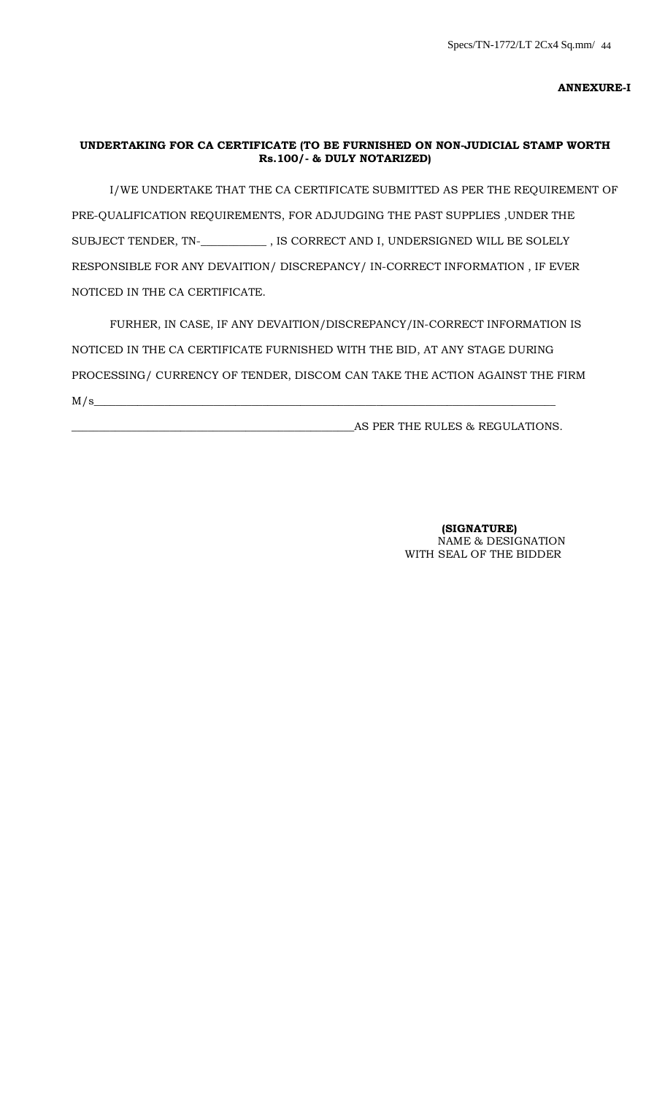# **UNDERTAKING FOR CA CERTIFICATE (TO BE FURNISHED ON NON-JUDICIAL STAMP WORTH Rs.100/- & DULY NOTARIZED)**

 I/WE UNDERTAKE THAT THE CA CERTIFICATE SUBMITTED AS PER THE REQUIREMENT OF PRE-QUALIFICATION REQUIREMENTS, FOR ADJUDGING THE PAST SUPPLIES ,UNDER THE SUBJECT TENDER, TN-\_**\_\_\_\_\_\_\_\_\_\_\_** , IS CORRECT AND I, UNDERSIGNED WILL BE SOLELY RESPONSIBLE FOR ANY DEVAITION/ DISCREPANCY/ IN-CORRECT INFORMATION , IF EVER NOTICED IN THE CA CERTIFICATE.

 FURHER, IN CASE, IF ANY DEVAITION/DISCREPANCY/IN-CORRECT INFORMATION IS NOTICED IN THE CA CERTIFICATE FURNISHED WITH THE BID, AT ANY STAGE DURING PROCESSING/ CURRENCY OF TENDER, DISCOM CAN TAKE THE ACTION AGAINST THE FIRM  $M/s$   $\sim$ 

\_\_\_\_\_\_\_\_\_\_\_\_\_\_\_\_\_\_\_\_\_\_\_\_\_\_\_\_\_\_\_\_\_\_\_\_\_\_\_\_\_\_\_\_\_\_\_\_\_\_\_\_AS PER THE RULES & REGULATIONS.

 **(SIGNATURE)** NAME & DESIGNATION WITH SEAL OF THE BIDDER